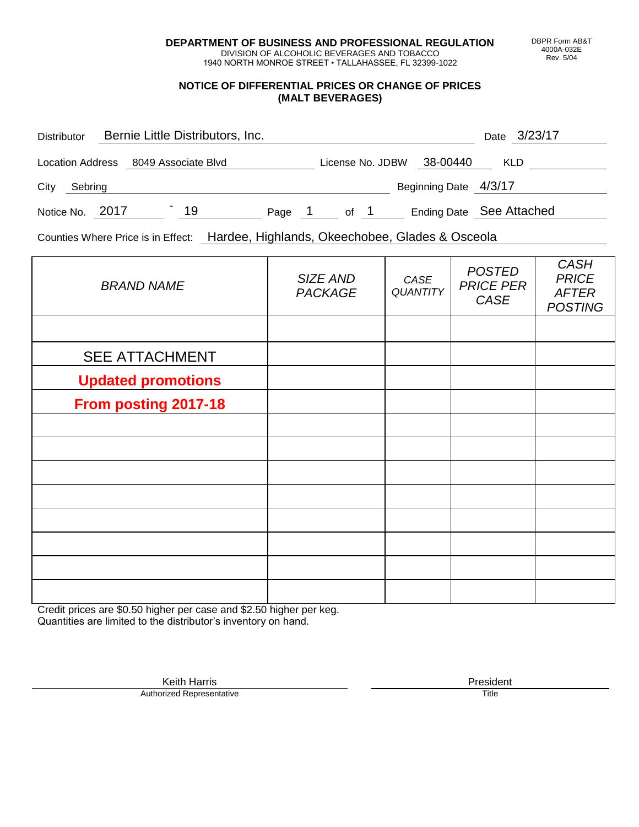**DEPARTMENT OF BUSINESS AND PROFESSIONAL REGULATION** DIVISION OF ALCOHOLIC BEVERAGES AND TOBACCO

1940 NORTH MONROE STREET • TALLAHASSEE, FL 32399-1022

#### **NOTICE OF DIFFERENTIAL PRICES OR CHANGE OF PRICES (MALT BEVERAGES)**

| <b>Distributor</b> | Bernie Little Distributors, Inc.     |        |      |                           | Date 3/23/17             |
|--------------------|--------------------------------------|--------|------|---------------------------|--------------------------|
|                    | Location Address 8049 Associate Blvd |        |      | License No. JDBW 38-00440 | <b>KLD</b>               |
| City<br>Sebring    |                                      |        |      | Beginning Date 4/3/17     |                          |
| Notice No. 2017    | 19                                   | Page 1 | of 1 |                           | Ending Date See Attached |

Counties Where Price is in Effect: Hardee, Highlands, Okeechobee, Glades & Osceola

| <b>BRAND NAME</b>         | SIZE AND<br><b>PACKAGE</b> | CASE<br><b>QUANTITY</b> | <b>POSTED</b><br><b>PRICE PER</b><br>CASE | <b>CASH</b><br><b>PRICE</b><br><b>AFTER</b><br><b>POSTING</b> |
|---------------------------|----------------------------|-------------------------|-------------------------------------------|---------------------------------------------------------------|
|                           |                            |                         |                                           |                                                               |
| <b>SEE ATTACHMENT</b>     |                            |                         |                                           |                                                               |
| <b>Updated promotions</b> |                            |                         |                                           |                                                               |
| From posting 2017-18      |                            |                         |                                           |                                                               |
|                           |                            |                         |                                           |                                                               |
|                           |                            |                         |                                           |                                                               |
|                           |                            |                         |                                           |                                                               |
|                           |                            |                         |                                           |                                                               |
|                           |                            |                         |                                           |                                                               |
|                           |                            |                         |                                           |                                                               |
|                           |                            |                         |                                           |                                                               |
|                           |                            |                         |                                           |                                                               |

Credit prices are \$0.50 higher per case and \$2.50 higher per keg. Quantities are limited to the distributor's inventory on hand.

DBPR Form AB&T 4000A-032E Rev. 5/04

Keith Harris **President**<br> **President**<br>
Prized Representative **President Authorized Representative**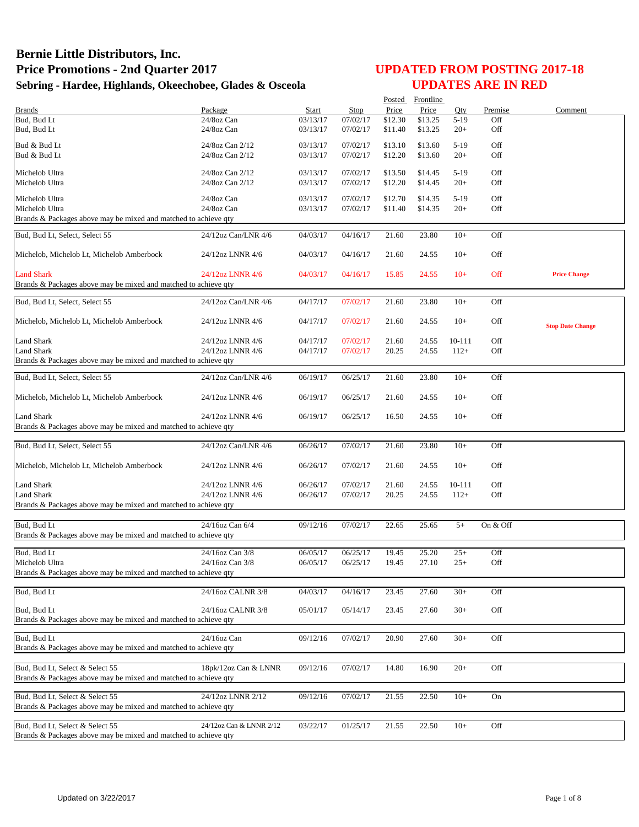|                                                                 |                          |          |                      |         | Posted Frontline |            |            |                         |
|-----------------------------------------------------------------|--------------------------|----------|----------------------|---------|------------------|------------|------------|-------------------------|
| <b>Brands</b>                                                   | Package                  | Start    | Stop                 | Price   | Price            | Qty        | Premise    | Comment                 |
| Bud, Bud Lt                                                     | 24/8oz Can               | 03/13/17 | 07/02/17             | \$12.30 | \$13.25          | $5-19$     | Off        |                         |
| Bud, Bud Lt                                                     | 24/8oz Can               | 03/13/17 | 07/02/17             | \$11.40 | \$13.25          | $20+$      | Off        |                         |
| Bud & Bud Lt                                                    | 24/8oz Can 2/12          | 03/13/17 | 07/02/17             | \$13.10 | \$13.60          | $5-19$     | Off        |                         |
| Bud & Bud Lt                                                    | 24/8oz Can 2/12          | 03/13/17 | 07/02/17             | \$12.20 | \$13.60          | $20+$      | Off        |                         |
|                                                                 |                          |          |                      |         |                  |            |            |                         |
| Michelob Ultra                                                  | 24/8oz Can 2/12          | 03/13/17 | 07/02/17             | \$13.50 | \$14.45          | $5-19$     | Off        |                         |
| Michelob Ultra                                                  | 24/8oz Can 2/12          | 03/13/17 | 07/02/17             | \$12.20 | \$14.45          | $20+$      | Off        |                         |
| Michelob Ultra                                                  |                          |          |                      | \$12.70 |                  |            |            |                         |
| Michelob Ultra                                                  | 24/8oz Can<br>24/8oz Can | 03/13/17 | 07/02/17<br>07/02/17 |         | \$14.35          | $5-19$     | Off<br>Off |                         |
| Brands & Packages above may be mixed and matched to achieve qty |                          | 03/13/17 |                      | \$11.40 | \$14.35          | $20+$      |            |                         |
|                                                                 |                          |          |                      |         |                  |            |            |                         |
| Bud, Bud Lt, Select, Select 55                                  | 24/12oz Can/LNR 4/6      | 04/03/17 | 04/16/17             | 21.60   | 23.80            | $10+$      | Off        |                         |
|                                                                 |                          |          |                      |         |                  |            |            |                         |
| Michelob, Michelob Lt, Michelob Amberbock                       | 24/12oz LNNR 4/6         | 04/03/17 | 04/16/17             | 21.60   | 24.55            | $10+$      | Off        |                         |
|                                                                 |                          |          |                      |         |                  |            |            |                         |
| <b>Land Shark</b>                                               | 24/12oz LNNR 4/6         | 04/03/17 | 04/16/17             | 15.85   | 24.55            | $10+$      | Off        | <b>Price Change</b>     |
| Brands & Packages above may be mixed and matched to achieve qty |                          |          |                      |         |                  |            |            |                         |
|                                                                 |                          |          |                      |         |                  |            |            |                         |
| Bud, Bud Lt, Select, Select 55                                  | 24/12oz Can/LNR 4/6      | 04/17/17 | 07/02/17             | 21.60   | 23.80            | $10+$      | Off        |                         |
| Michelob, Michelob Lt, Michelob Amberbock                       | 24/12oz LNNR 4/6         |          |                      |         |                  |            | Off        |                         |
|                                                                 |                          | 04/17/17 | 07/02/17             | 21.60   | 24.55            | $10+$      |            | <b>Stop Date Change</b> |
| <b>Land Shark</b>                                               | 24/12oz LNNR 4/6         | 04/17/17 | 07/02/17             | 21.60   | 24.55            | $10 - 111$ | Off        |                         |
| <b>Land Shark</b>                                               | 24/12oz LNNR 4/6         | 04/17/17 | 07/02/17             | 20.25   | 24.55            | $112+$     | Off        |                         |
| Brands & Packages above may be mixed and matched to achieve qty |                          |          |                      |         |                  |            |            |                         |
|                                                                 |                          |          |                      |         |                  |            |            |                         |
| Bud, Bud Lt, Select, Select 55                                  | 24/12oz Can/LNR 4/6      | 06/19/17 | 06/25/17             | 21.60   | 23.80            | $10+$      | Off        |                         |
|                                                                 |                          |          |                      |         |                  |            |            |                         |
| Michelob, Michelob Lt, Michelob Amberbock                       | 24/12oz LNNR 4/6         | 06/19/17 | 06/25/17             | 21.60   | 24.55            | $10+$      | Off        |                         |
|                                                                 |                          |          |                      |         |                  |            |            |                         |
| <b>Land Shark</b>                                               | 24/12oz LNNR 4/6         | 06/19/17 | 06/25/17             | 16.50   | 24.55            | $10+$      | Off        |                         |
| Brands & Packages above may be mixed and matched to achieve qty |                          |          |                      |         |                  |            |            |                         |
|                                                                 |                          |          |                      |         |                  |            |            |                         |
| Bud, Bud Lt, Select, Select 55                                  | 24/12oz Can/LNR 4/6      | 06/26/17 | 07/02/17             | 21.60   | 23.80            | $10+$      | Off        |                         |
|                                                                 |                          |          |                      |         |                  |            |            |                         |
| Michelob, Michelob Lt, Michelob Amberbock                       | 24/12oz LNNR 4/6         | 06/26/17 | 07/02/17             | 21.60   | 24.55            | $10+$      | Off        |                         |
|                                                                 |                          |          |                      |         |                  |            |            |                         |
| Land Shark                                                      | 24/12oz LNNR 4/6         | 06/26/17 | 07/02/17             | 21.60   | 24.55            | $10 - 111$ | Off        |                         |
| <b>Land Shark</b>                                               | 24/12oz LNNR 4/6         | 06/26/17 | 07/02/17             | 20.25   | 24.55            | $112+$     | Off        |                         |
| Brands & Packages above may be mixed and matched to achieve qty |                          |          |                      |         |                  |            |            |                         |
|                                                                 |                          |          |                      |         |                  |            |            |                         |
| Bud, Bud Lt                                                     | 24/16oz Can 6/4          | 09/12/16 | 07/02/17             | 22.65   | 25.65            | $5+$       | On & Off   |                         |
| Brands & Packages above may be mixed and matched to achieve qty |                          |          |                      |         |                  |            |            |                         |
| Bud, Bud Lt                                                     | 24/16oz Can 3/8          | 06/05/17 | 06/25/17             | 19.45   | 25.20            | $25+$      | Off        |                         |
| Michelob Ultra                                                  | 24/16oz Can 3/8          | 06/05/17 | 06/25/17             | 19.45   | 27.10            | $25+$      | Off        |                         |
| Brands & Packages above may be mixed and matched to achieve qty |                          |          |                      |         |                  |            |            |                         |
|                                                                 |                          |          |                      |         |                  |            |            |                         |
| Bud, Bud Lt                                                     | 24/16oz CALNR 3/8        | 04/03/17 | 04/16/17             | 23.45   | 27.60            | $30+$      | Off        |                         |
|                                                                 |                          |          |                      |         |                  |            |            |                         |
| Bud, Bud Lt                                                     | 24/16oz CALNR 3/8        | 05/01/17 | 05/14/17             | 23.45   | 27.60            | $30+$      | Off        |                         |
| Brands & Packages above may be mixed and matched to achieve gty |                          |          |                      |         |                  |            |            |                         |
|                                                                 | 24/16oz Can              |          |                      |         |                  |            |            |                         |
| Bud, Bud Lt                                                     |                          | 09/12/16 | 07/02/17             | 20.90   | 27.60            | $30+$      | Off        |                         |
| Brands & Packages above may be mixed and matched to achieve qty |                          |          |                      |         |                  |            |            |                         |
|                                                                 |                          |          |                      |         |                  |            |            |                         |
| Bud, Bud Lt, Select & Select 55                                 | 18pk/12oz Can & LNNR     | 09/12/16 | 07/02/17             | 14.80   | 16.90            | $20+$      | Off        |                         |
| Brands & Packages above may be mixed and matched to achieve qty |                          |          |                      |         |                  |            |            |                         |
| Bud, Bud Lt, Select & Select 55                                 | 24/12oz LNNR 2/12        | 09/12/16 | 07/02/17             | 21.55   | 22.50            | $10+$      | On         |                         |
| Brands & Packages above may be mixed and matched to achieve qty |                          |          |                      |         |                  |            |            |                         |
|                                                                 |                          |          |                      |         |                  |            |            |                         |
| Bud, Bud Lt, Select & Select 55                                 | 24/12oz Can & LNNR 2/12  | 03/22/17 | 01/25/17             | 21.55   | 22.50            | $10+$      | Off        |                         |
| Brands & Packages above may be mixed and matched to achieve qty |                          |          |                      |         |                  |            |            |                         |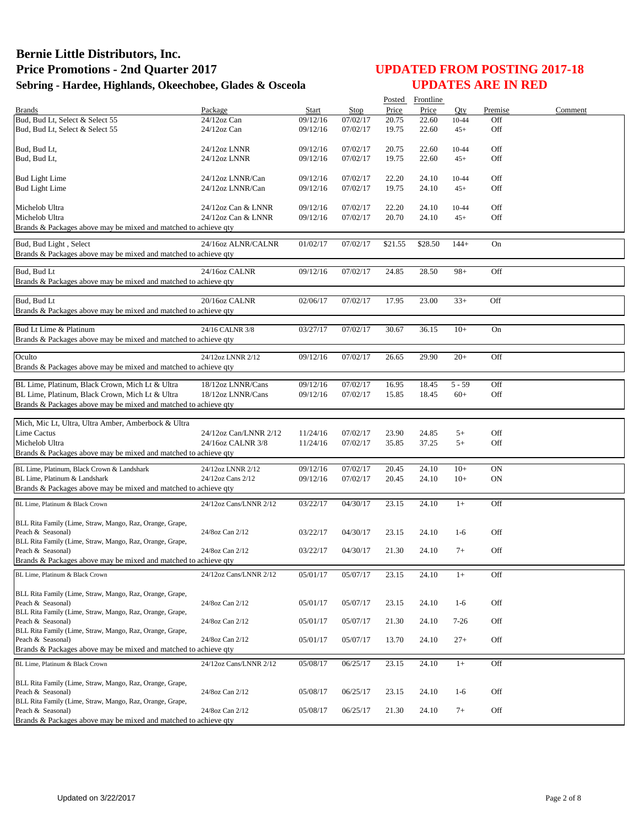|                                                                               |                              |                      |                      |                | Posted Frontline |                |                 |         |
|-------------------------------------------------------------------------------|------------------------------|----------------------|----------------------|----------------|------------------|----------------|-----------------|---------|
| <b>Brands</b>                                                                 | Package                      | Start                | Stop                 | Price          | Price            | Otv            | Premise         | Comment |
| Bud, Bud Lt, Select & Select 55                                               | $24/12$ oz Can               | 09/12/16             | 07/02/17             | 20.75          | 22.60            | 10-44          | Off             |         |
| Bud, Bud Lt, Select & Select 55                                               | $24/12$ oz Can               | 09/12/16             | 07/02/17             | 19.75          | 22.60            | $45+$          | Off             |         |
|                                                                               |                              |                      |                      |                |                  |                |                 |         |
| Bud, Bud Lt,<br>Bud, Bud Lt,                                                  | 24/12oz LNNR<br>24/12oz LNNR | 09/12/16<br>09/12/16 | 07/02/17<br>07/02/17 | 20.75<br>19.75 | 22.60            | 10-44          | Off<br>Off      |         |
|                                                                               |                              |                      |                      |                | 22.60            | $45+$          |                 |         |
| <b>Bud Light Lime</b>                                                         | 24/12oz LNNR/Can             | 09/12/16             | 07/02/17             | 22.20          | 24.10            | 10-44          | Off             |         |
| <b>Bud Light Lime</b>                                                         | 24/12oz LNNR/Can             | 09/12/16             | 07/02/17             | 19.75          | 24.10            | $45+$          | Off             |         |
|                                                                               |                              |                      |                      |                |                  |                |                 |         |
| Michelob Ultra                                                                | 24/12oz Can & LNNR           | 09/12/16             | 07/02/17             | 22.20          | 24.10            | 10-44          | Off             |         |
| Michelob Ultra                                                                | 24/12oz Can & LNNR           | 09/12/16             | 07/02/17             | 20.70          | 24.10            | $45+$          | Off             |         |
| Brands & Packages above may be mixed and matched to achieve qty               |                              |                      |                      |                |                  |                |                 |         |
| Bud, Bud Light, Select                                                        | 24/16oz ALNR/CALNR           | 01/02/17             | 07/02/17             | \$21.55        | \$28.50          | $144+$         | On              |         |
| Brands & Packages above may be mixed and matched to achieve qty               |                              |                      |                      |                |                  |                |                 |         |
|                                                                               |                              |                      |                      |                |                  |                |                 |         |
| Bud, Bud Lt                                                                   | 24/16oz CALNR                | 09/12/16             | 07/02/17             | 24.85          | 28.50            | $98+$          | Off             |         |
| Brands & Packages above may be mixed and matched to achieve qty               |                              |                      |                      |                |                  |                |                 |         |
|                                                                               |                              |                      |                      |                |                  |                |                 |         |
| Bud, Bud Lt                                                                   | 20/16oz CALNR                | 02/06/17             | 07/02/17             | 17.95          | 23.00            | $33+$          | Off             |         |
| Brands & Packages above may be mixed and matched to achieve qty               |                              |                      |                      |                |                  |                |                 |         |
| Bud Lt Lime & Platinum                                                        | 24/16 CALNR 3/8              | 03/27/17             | 07/02/17             | 30.67          | 36.15            | $10+$          | On              |         |
| Brands & Packages above may be mixed and matched to achieve qty               |                              |                      |                      |                |                  |                |                 |         |
|                                                                               |                              |                      |                      |                |                  |                |                 |         |
| Oculto                                                                        | 24/12oz LNNR 2/12            | 09/12/16             | 07/02/17             | 26.65          | 29.90            | $20+$          | Off             |         |
| Brands & Packages above may be mixed and matched to achieve qty               |                              |                      |                      |                |                  |                |                 |         |
|                                                                               |                              |                      |                      |                |                  |                |                 |         |
| BL Lime, Platinum, Black Crown, Mich Lt & Ultra                               | 18/12oz LNNR/Cans            | 09/12/16             | 07/02/17             | 16.95          | 18.45            | $5 - 59$       | Off             |         |
| BL Lime, Platinum, Black Crown, Mich Lt & Ultra                               | 18/12oz LNNR/Cans            | 09/12/16             | 07/02/17             | 15.85          | 18.45            | $60+$          | Off             |         |
| Brands & Packages above may be mixed and matched to achieve qty               |                              |                      |                      |                |                  |                |                 |         |
| Mich, Mic Lt, Ultra, Ultra Amber, Amberbock & Ultra                           |                              |                      |                      |                |                  |                |                 |         |
| <b>Lime Cactus</b>                                                            | 24/12oz Can/LNNR 2/12        | 11/24/16             | 07/02/17             | 23.90          | 24.85            | $5+$           | Off             |         |
| Michelob Ultra                                                                | 24/16oz CALNR 3/8            | 11/24/16             | 07/02/17             | 35.85          | 37.25            | $5+$           | Off             |         |
| Brands & Packages above may be mixed and matched to achieve qty               |                              |                      |                      |                |                  |                |                 |         |
|                                                                               |                              |                      |                      |                |                  |                |                 |         |
| BL Lime, Platinum, Black Crown & Landshark<br>BL Lime, Platinum & Landshark   | 24/12oz LNNR 2/12            | 09/12/16<br>09/12/16 | 07/02/17<br>07/02/17 | 20.45<br>20.45 | 24.10<br>24.10   | $10+$<br>$10+$ | <b>ON</b><br>ON |         |
| Brands & Packages above may be mixed and matched to achieve qty               | 24/12oz Cans 2/12            |                      |                      |                |                  |                |                 |         |
|                                                                               |                              |                      |                      |                |                  |                |                 |         |
| BL Lime, Platinum & Black Crown                                               | 24/12oz Cans/LNNR 2/12       | 03/22/17             | 04/30/17             | 23.15          | 24.10            | $1+$           | Off             |         |
|                                                                               |                              |                      |                      |                |                  |                |                 |         |
| BLL Rita Family (Lime, Straw, Mango, Raz, Orange, Grape,                      |                              |                      |                      |                |                  |                |                 |         |
| Peach & Seasonal)<br>BLL Rita Family (Lime, Straw, Mango, Raz, Orange, Grape, | 24/8oz Can 2/12              | 03/22/17             | 04/30/17             | 23.15          | 24.10            | $1-6$          | Off             |         |
| Peach & Seasonal)                                                             | 24/8oz Can 2/12              | 03/22/17             | 04/30/17             | 21.30          | 24.10            | $7+$           | Off             |         |
| Brands & Packages above may be mixed and matched to achieve gty               |                              |                      |                      |                |                  |                |                 |         |
| BL Lime, Platinum & Black Crown                                               | 24/12oz Cans/LNNR 2/12       | 05/01/17             | 05/07/17             | 23.15          | 24.10            | $1+$           | Off             |         |
|                                                                               |                              |                      |                      |                |                  |                |                 |         |
| BLL Rita Family (Lime, Straw, Mango, Raz, Orange, Grape,                      |                              |                      |                      |                |                  |                |                 |         |
| Peach & Seasonal)                                                             | 24/8oz Can 2/12              | 05/01/17             | 05/07/17             | 23.15          | 24.10            | $1-6$          | Off             |         |
| BLL Rita Family (Lime, Straw, Mango, Raz, Orange, Grape,                      |                              |                      |                      |                |                  |                |                 |         |
| Peach & Seasonal)                                                             | 24/8oz Can 2/12              | 05/01/17             | 05/07/17             | 21.30          | 24.10            | $7-26$         | Off             |         |
| BLL Rita Family (Lime, Straw, Mango, Raz, Orange, Grape,                      |                              |                      |                      |                |                  |                |                 |         |
| Peach & Seasonal)                                                             | 24/8oz Can 2/12              | 05/01/17             | 05/07/17             | 13.70          | 24.10            | $27+$          | Off             |         |
| Brands & Packages above may be mixed and matched to achieve qty               |                              |                      |                      |                |                  |                |                 |         |
| BL Lime, Platinum & Black Crown                                               | 24/12oz Cans/LNNR 2/12       | 05/08/17             | 06/25/17             | 23.15          | 24.10            | $1+$           | Off             |         |
|                                                                               |                              |                      |                      |                |                  |                |                 |         |
| BLL Rita Family (Lime, Straw, Mango, Raz, Orange, Grape,                      |                              |                      |                      |                |                  |                |                 |         |
| Peach & Seasonal)<br>BLL Rita Family (Lime, Straw, Mango, Raz, Orange, Grape, | 24/8oz Can 2/12              | 05/08/17             | 06/25/17             | 23.15          | 24.10            | $1-6$          | Off             |         |
| Peach & Seasonal)                                                             | 24/8oz Can 2/12              | 05/08/17             | 06/25/17             | 21.30          | 24.10            | $7+$           | Off             |         |
| Brands & Packages above may be mixed and matched to achieve qty               |                              |                      |                      |                |                  |                |                 |         |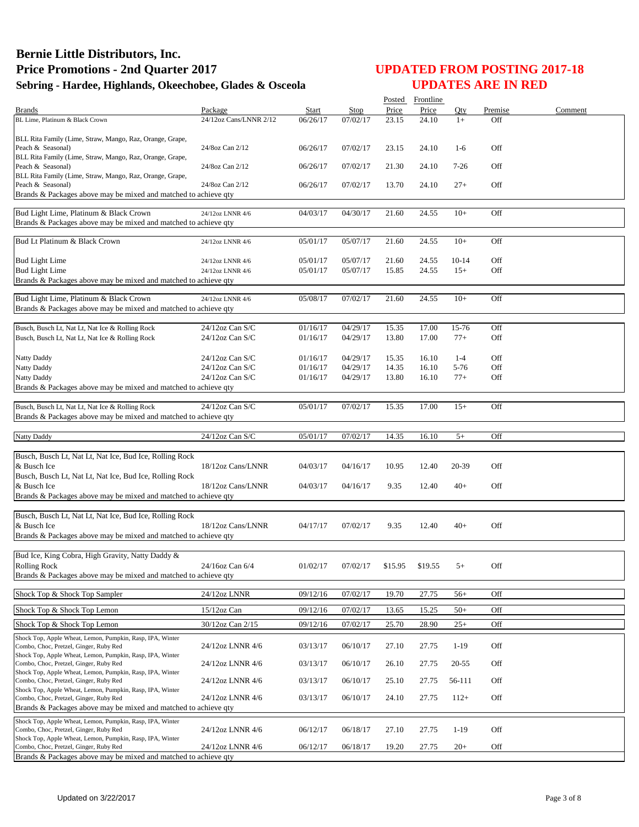| Package<br><b>Start</b><br><b>Stop</b><br>Qty<br>Premise<br><b>Brands</b><br>24.10<br>Off<br>24/12oz Cans/LNNR 2/12<br>06/26/17<br>07/02/17<br>23.15<br>$1+$<br>BL Lime, Platinum & Black Crown<br>BLL Rita Family (Lime, Straw, Mango, Raz, Orange, Grape,<br>06/26/17<br>07/02/17<br>Off<br>Peach & Seasonal)<br>24/8oz Can 2/12<br>23.15<br>24.10<br>$1-6$<br>BLL Rita Family (Lime, Straw, Mango, Raz, Orange, Grape,<br>Off<br>Peach & Seasonal)<br>24/8oz Can 2/12<br>06/26/17<br>07/02/17<br>21.30<br>24.10<br>$7-26$<br>BLL Rita Family (Lime, Straw, Mango, Raz, Orange, Grape,<br>Peach & Seasonal)<br>Off<br>24/8oz Can 2/12<br>06/26/17<br>07/02/17<br>13.70<br>24.10<br>$27+$<br>Brands & Packages above may be mixed and matched to achieve qty<br>Bud Light Lime, Platinum & Black Crown<br>04/30/17<br>21.60<br>24.55<br>$10+$<br>Off<br>24/12oz LNNR 4/6<br>04/03/17<br>Brands & Packages above may be mixed and matched to achieve qty<br>Bud Lt Platinum & Black Crown<br>05/07/17<br>24.55<br>$10+$<br>Off<br>05/01/17<br>21.60<br>24/12oz LNNR 4/6<br><b>Bud Light Lime</b><br>05/01/17<br>05/07/17<br>21.60<br>$10-14$<br>Off<br>24.55<br>24/12oz LNNR 4/6<br>Off<br><b>Bud Light Lime</b><br>05/01/17<br>05/07/17<br>24/12oz LNNR 4/6<br>15.85<br>24.55<br>$15+$<br>Brands & Packages above may be mixed and matched to achieve qty<br>Bud Light Lime, Platinum & Black Crown<br>07/02/17<br>Off<br>05/08/17<br>21.60<br>24.55<br>$10+$<br>24/12oz LNNR 4/6<br>Brands & Packages above may be mixed and matched to achieve qty<br>24/12oz Can S/C<br>04/29/17<br>Off<br>Busch, Busch Lt, Nat Lt, Nat Ice & Rolling Rock<br>01/16/17<br>15.35<br>17.00<br>15-76<br>04/29/17<br>Off<br>Busch, Busch Lt, Nat Lt, Nat Ice & Rolling Rock<br>$24/12$ oz Can S/C<br>01/16/17<br>13.80<br>17.00<br>$77+$<br>$24/12$ oz Can S/C<br>01/16/17<br>04/29/17<br>Off<br>15.35<br>16.10<br>$1 - 4$<br>Natty Daddy<br>$24/12$ oz Can S/C<br>04/29/17<br>5-76<br>Off<br>Natty Daddy<br>01/16/17<br>14.35<br>16.10<br>$24/12$ oz Can S/C<br>04/29/17<br>Off<br>Natty Daddy<br>01/16/17<br>13.80<br>16.10<br>$77+$<br>Brands & Packages above may be mixed and matched to achieve qty<br>24/12oz Can S/C<br>07/02/17<br>Off<br>Busch, Busch Lt, Nat Lt, Nat Ice & Rolling Rock<br>05/01/17<br>15.35<br>17.00<br>$15+$<br>Brands & Packages above may be mixed and matched to achieve qty<br>24/12oz Can S/C<br>07/02/17<br><b>Natty Daddy</b><br>05/01/17<br>14.35<br>16.10<br>$5+$<br>Off<br>Busch, Busch Lt, Nat Lt, Nat Ice, Bud Ice, Rolling Rock<br>& Busch Ice<br>Off<br>18/12oz Cans/LNNR<br>04/03/17<br>04/16/17<br>10.95<br>12.40<br>20-39<br>Busch, Busch Lt, Nat Lt, Nat Ice, Bud Ice, Rolling Rock<br>& Busch Ice<br>18/12oz Cans/LNNR<br>Off<br>04/03/17<br>04/16/17<br>9.35<br>12.40<br>$40+$<br>Brands & Packages above may be mixed and matched to achieve qty<br>Busch, Busch Lt, Nat Lt, Nat Ice, Bud Ice, Rolling Rock<br>& Busch Ice<br>18/12oz Cans/LNNR<br>Off<br>04/17/17<br>07/02/17<br>9.35<br>12.40<br>$40+$<br>Brands & Packages above may be mixed and matched to achieve qty<br>Bud Ice, King Cobra, High Gravity, Natty Daddy &<br>24/16oz Can 6/4<br>01/02/17<br>Off<br>Rolling Rock<br>07/02/17<br>\$15.95<br>\$19.55<br>$^{+}$<br>Brands & Packages above may be mixed and matched to achieve qty<br>09/12/16<br>07/02/17<br>Off<br>Shock Top & Shock Top Sampler<br>24/12oz LNNR<br>19.70<br>27.75<br>$56+$<br>09/12/16<br>07/02/17<br>Off<br>Shock Top & Shock Top Lemon<br>15/12oz Can<br>13.65<br>15.25<br>$50+$<br>30/12oz Can 2/15<br>Shock Top & Shock Top Lemon<br>09/12/16<br>07/02/17<br>25.70<br>28.90<br>$25+$<br>Off<br>Shock Top, Apple Wheat, Lemon, Pumpkin, Rasp, IPA, Winter<br>24/12oz LNNR 4/6<br>Off<br>Combo, Choc, Pretzel, Ginger, Ruby Red<br>03/13/17<br>06/10/17<br>27.10<br>27.75<br>$1-19$<br>Shock Top, Apple Wheat, Lemon, Pumpkin, Rasp, IPA, Winter<br>03/13/17<br>06/10/17<br>Combo, Choc, Pretzel, Ginger, Ruby Red<br>24/12oz LNNR 4/6<br>26.10<br>27.75<br>$20-55$<br>Off<br>Shock Top, Apple Wheat, Lemon, Pumpkin, Rasp, IPA, Winter<br>03/13/17<br>Off<br>Combo, Choc, Pretzel, Ginger, Ruby Red<br>24/12oz LNNR 4/6<br>06/10/17<br>25.10<br>27.75<br>56-111<br>Shock Top, Apple Wheat, Lemon, Pumpkin, Rasp, IPA, Winter<br>03/13/17<br>06/10/17<br>27.75<br>$112+$<br>Off<br>Combo, Choc, Pretzel, Ginger, Ruby Red<br>24/12oz LNNR 4/6<br>24.10<br>Brands & Packages above may be mixed and matched to achieve qty<br>Shock Top, Apple Wheat, Lemon, Pumpkin, Rasp, IPA, Winter<br>Off<br>24/12oz LNNR 4/6<br>27.10<br>Combo, Choc, Pretzel, Ginger, Ruby Red<br>06/12/17<br>06/18/17<br>27.75<br>$1-19$<br>Shock Top, Apple Wheat, Lemon, Pumpkin, Rasp, IPA, Winter<br>Off<br>Combo, Choc, Pretzel, Ginger, Ruby Red<br>24/12oz LNNR 4/6<br>06/12/17<br>06/18/17<br>19.20<br>27.75<br>$20+$<br>Brands & Packages above may be mixed and matched to achieve qty |  |  | Posted | Frontline |  |         |
|--------------------------------------------------------------------------------------------------------------------------------------------------------------------------------------------------------------------------------------------------------------------------------------------------------------------------------------------------------------------------------------------------------------------------------------------------------------------------------------------------------------------------------------------------------------------------------------------------------------------------------------------------------------------------------------------------------------------------------------------------------------------------------------------------------------------------------------------------------------------------------------------------------------------------------------------------------------------------------------------------------------------------------------------------------------------------------------------------------------------------------------------------------------------------------------------------------------------------------------------------------------------------------------------------------------------------------------------------------------------------------------------------------------------------------------------------------------------------------------------------------------------------------------------------------------------------------------------------------------------------------------------------------------------------------------------------------------------------------------------------------------------------------------------------------------------------------------------------------------------------------------------------------------------------------------------------------------------------------------------------------------------------------------------------------------------------------------------------------------------------------------------------------------------------------------------------------------------------------------------------------------------------------------------------------------------------------------------------------------------------------------------------------------------------------------------------------------------------------------------------------------------------------------------------------------------------------------------------------------------------------------------------------------------------------------------------------------------------------------------------------------------------------------------------------------------------------------------------------------------------------------------------------------------------------------------------------------------------------------------------------------------------------------------------------------------------------------------------------------------------------------------------------------------------------------------------------------------------------------------------------------------------------------------------------------------------------------------------------------------------------------------------------------------------------------------------------------------------------------------------------------------------------------------------------------------------------------------------------------------------------------------------------------------------------------------------------------------------------------------------------------------------------------------------------------------------------------------------------------------------------------------------------------------------------------------------------------------------------------------------------------------------------------------------------------------------------------------------------------------------------------------------------------------------------------------------------------------------------------------------------------------------------------------------------------------------------------------------------------------------------------------------------------------------------------------------------------------------------------------------------------------------------------------------------------------------------------------------------------------------------------------------------------------------------------------------------------------------------------------------------------------------------------------------------------------------------------------------------------------------------------------------------------------------------------------------|--|--|--------|-----------|--|---------|
|                                                                                                                                                                                                                                                                                                                                                                                                                                                                                                                                                                                                                                                                                                                                                                                                                                                                                                                                                                                                                                                                                                                                                                                                                                                                                                                                                                                                                                                                                                                                                                                                                                                                                                                                                                                                                                                                                                                                                                                                                                                                                                                                                                                                                                                                                                                                                                                                                                                                                                                                                                                                                                                                                                                                                                                                                                                                                                                                                                                                                                                                                                                                                                                                                                                                                                                                                                                                                                                                                                                                                                                                                                                                                                                                                                                                                                                                                                                                                                                                                                                                                                                                                                                                                                                                                                                                                                                                                                                                                                                                                                                                                                                                                                                                                                                                                                                                                                                                                  |  |  | Price  | Price     |  | Comment |
|                                                                                                                                                                                                                                                                                                                                                                                                                                                                                                                                                                                                                                                                                                                                                                                                                                                                                                                                                                                                                                                                                                                                                                                                                                                                                                                                                                                                                                                                                                                                                                                                                                                                                                                                                                                                                                                                                                                                                                                                                                                                                                                                                                                                                                                                                                                                                                                                                                                                                                                                                                                                                                                                                                                                                                                                                                                                                                                                                                                                                                                                                                                                                                                                                                                                                                                                                                                                                                                                                                                                                                                                                                                                                                                                                                                                                                                                                                                                                                                                                                                                                                                                                                                                                                                                                                                                                                                                                                                                                                                                                                                                                                                                                                                                                                                                                                                                                                                                                  |  |  |        |           |  |         |
|                                                                                                                                                                                                                                                                                                                                                                                                                                                                                                                                                                                                                                                                                                                                                                                                                                                                                                                                                                                                                                                                                                                                                                                                                                                                                                                                                                                                                                                                                                                                                                                                                                                                                                                                                                                                                                                                                                                                                                                                                                                                                                                                                                                                                                                                                                                                                                                                                                                                                                                                                                                                                                                                                                                                                                                                                                                                                                                                                                                                                                                                                                                                                                                                                                                                                                                                                                                                                                                                                                                                                                                                                                                                                                                                                                                                                                                                                                                                                                                                                                                                                                                                                                                                                                                                                                                                                                                                                                                                                                                                                                                                                                                                                                                                                                                                                                                                                                                                                  |  |  |        |           |  |         |
|                                                                                                                                                                                                                                                                                                                                                                                                                                                                                                                                                                                                                                                                                                                                                                                                                                                                                                                                                                                                                                                                                                                                                                                                                                                                                                                                                                                                                                                                                                                                                                                                                                                                                                                                                                                                                                                                                                                                                                                                                                                                                                                                                                                                                                                                                                                                                                                                                                                                                                                                                                                                                                                                                                                                                                                                                                                                                                                                                                                                                                                                                                                                                                                                                                                                                                                                                                                                                                                                                                                                                                                                                                                                                                                                                                                                                                                                                                                                                                                                                                                                                                                                                                                                                                                                                                                                                                                                                                                                                                                                                                                                                                                                                                                                                                                                                                                                                                                                                  |  |  |        |           |  |         |
|                                                                                                                                                                                                                                                                                                                                                                                                                                                                                                                                                                                                                                                                                                                                                                                                                                                                                                                                                                                                                                                                                                                                                                                                                                                                                                                                                                                                                                                                                                                                                                                                                                                                                                                                                                                                                                                                                                                                                                                                                                                                                                                                                                                                                                                                                                                                                                                                                                                                                                                                                                                                                                                                                                                                                                                                                                                                                                                                                                                                                                                                                                                                                                                                                                                                                                                                                                                                                                                                                                                                                                                                                                                                                                                                                                                                                                                                                                                                                                                                                                                                                                                                                                                                                                                                                                                                                                                                                                                                                                                                                                                                                                                                                                                                                                                                                                                                                                                                                  |  |  |        |           |  |         |
|                                                                                                                                                                                                                                                                                                                                                                                                                                                                                                                                                                                                                                                                                                                                                                                                                                                                                                                                                                                                                                                                                                                                                                                                                                                                                                                                                                                                                                                                                                                                                                                                                                                                                                                                                                                                                                                                                                                                                                                                                                                                                                                                                                                                                                                                                                                                                                                                                                                                                                                                                                                                                                                                                                                                                                                                                                                                                                                                                                                                                                                                                                                                                                                                                                                                                                                                                                                                                                                                                                                                                                                                                                                                                                                                                                                                                                                                                                                                                                                                                                                                                                                                                                                                                                                                                                                                                                                                                                                                                                                                                                                                                                                                                                                                                                                                                                                                                                                                                  |  |  |        |           |  |         |
|                                                                                                                                                                                                                                                                                                                                                                                                                                                                                                                                                                                                                                                                                                                                                                                                                                                                                                                                                                                                                                                                                                                                                                                                                                                                                                                                                                                                                                                                                                                                                                                                                                                                                                                                                                                                                                                                                                                                                                                                                                                                                                                                                                                                                                                                                                                                                                                                                                                                                                                                                                                                                                                                                                                                                                                                                                                                                                                                                                                                                                                                                                                                                                                                                                                                                                                                                                                                                                                                                                                                                                                                                                                                                                                                                                                                                                                                                                                                                                                                                                                                                                                                                                                                                                                                                                                                                                                                                                                                                                                                                                                                                                                                                                                                                                                                                                                                                                                                                  |  |  |        |           |  |         |
|                                                                                                                                                                                                                                                                                                                                                                                                                                                                                                                                                                                                                                                                                                                                                                                                                                                                                                                                                                                                                                                                                                                                                                                                                                                                                                                                                                                                                                                                                                                                                                                                                                                                                                                                                                                                                                                                                                                                                                                                                                                                                                                                                                                                                                                                                                                                                                                                                                                                                                                                                                                                                                                                                                                                                                                                                                                                                                                                                                                                                                                                                                                                                                                                                                                                                                                                                                                                                                                                                                                                                                                                                                                                                                                                                                                                                                                                                                                                                                                                                                                                                                                                                                                                                                                                                                                                                                                                                                                                                                                                                                                                                                                                                                                                                                                                                                                                                                                                                  |  |  |        |           |  |         |
|                                                                                                                                                                                                                                                                                                                                                                                                                                                                                                                                                                                                                                                                                                                                                                                                                                                                                                                                                                                                                                                                                                                                                                                                                                                                                                                                                                                                                                                                                                                                                                                                                                                                                                                                                                                                                                                                                                                                                                                                                                                                                                                                                                                                                                                                                                                                                                                                                                                                                                                                                                                                                                                                                                                                                                                                                                                                                                                                                                                                                                                                                                                                                                                                                                                                                                                                                                                                                                                                                                                                                                                                                                                                                                                                                                                                                                                                                                                                                                                                                                                                                                                                                                                                                                                                                                                                                                                                                                                                                                                                                                                                                                                                                                                                                                                                                                                                                                                                                  |  |  |        |           |  |         |
|                                                                                                                                                                                                                                                                                                                                                                                                                                                                                                                                                                                                                                                                                                                                                                                                                                                                                                                                                                                                                                                                                                                                                                                                                                                                                                                                                                                                                                                                                                                                                                                                                                                                                                                                                                                                                                                                                                                                                                                                                                                                                                                                                                                                                                                                                                                                                                                                                                                                                                                                                                                                                                                                                                                                                                                                                                                                                                                                                                                                                                                                                                                                                                                                                                                                                                                                                                                                                                                                                                                                                                                                                                                                                                                                                                                                                                                                                                                                                                                                                                                                                                                                                                                                                                                                                                                                                                                                                                                                                                                                                                                                                                                                                                                                                                                                                                                                                                                                                  |  |  |        |           |  |         |
|                                                                                                                                                                                                                                                                                                                                                                                                                                                                                                                                                                                                                                                                                                                                                                                                                                                                                                                                                                                                                                                                                                                                                                                                                                                                                                                                                                                                                                                                                                                                                                                                                                                                                                                                                                                                                                                                                                                                                                                                                                                                                                                                                                                                                                                                                                                                                                                                                                                                                                                                                                                                                                                                                                                                                                                                                                                                                                                                                                                                                                                                                                                                                                                                                                                                                                                                                                                                                                                                                                                                                                                                                                                                                                                                                                                                                                                                                                                                                                                                                                                                                                                                                                                                                                                                                                                                                                                                                                                                                                                                                                                                                                                                                                                                                                                                                                                                                                                                                  |  |  |        |           |  |         |
|                                                                                                                                                                                                                                                                                                                                                                                                                                                                                                                                                                                                                                                                                                                                                                                                                                                                                                                                                                                                                                                                                                                                                                                                                                                                                                                                                                                                                                                                                                                                                                                                                                                                                                                                                                                                                                                                                                                                                                                                                                                                                                                                                                                                                                                                                                                                                                                                                                                                                                                                                                                                                                                                                                                                                                                                                                                                                                                                                                                                                                                                                                                                                                                                                                                                                                                                                                                                                                                                                                                                                                                                                                                                                                                                                                                                                                                                                                                                                                                                                                                                                                                                                                                                                                                                                                                                                                                                                                                                                                                                                                                                                                                                                                                                                                                                                                                                                                                                                  |  |  |        |           |  |         |
|                                                                                                                                                                                                                                                                                                                                                                                                                                                                                                                                                                                                                                                                                                                                                                                                                                                                                                                                                                                                                                                                                                                                                                                                                                                                                                                                                                                                                                                                                                                                                                                                                                                                                                                                                                                                                                                                                                                                                                                                                                                                                                                                                                                                                                                                                                                                                                                                                                                                                                                                                                                                                                                                                                                                                                                                                                                                                                                                                                                                                                                                                                                                                                                                                                                                                                                                                                                                                                                                                                                                                                                                                                                                                                                                                                                                                                                                                                                                                                                                                                                                                                                                                                                                                                                                                                                                                                                                                                                                                                                                                                                                                                                                                                                                                                                                                                                                                                                                                  |  |  |        |           |  |         |
|                                                                                                                                                                                                                                                                                                                                                                                                                                                                                                                                                                                                                                                                                                                                                                                                                                                                                                                                                                                                                                                                                                                                                                                                                                                                                                                                                                                                                                                                                                                                                                                                                                                                                                                                                                                                                                                                                                                                                                                                                                                                                                                                                                                                                                                                                                                                                                                                                                                                                                                                                                                                                                                                                                                                                                                                                                                                                                                                                                                                                                                                                                                                                                                                                                                                                                                                                                                                                                                                                                                                                                                                                                                                                                                                                                                                                                                                                                                                                                                                                                                                                                                                                                                                                                                                                                                                                                                                                                                                                                                                                                                                                                                                                                                                                                                                                                                                                                                                                  |  |  |        |           |  |         |
|                                                                                                                                                                                                                                                                                                                                                                                                                                                                                                                                                                                                                                                                                                                                                                                                                                                                                                                                                                                                                                                                                                                                                                                                                                                                                                                                                                                                                                                                                                                                                                                                                                                                                                                                                                                                                                                                                                                                                                                                                                                                                                                                                                                                                                                                                                                                                                                                                                                                                                                                                                                                                                                                                                                                                                                                                                                                                                                                                                                                                                                                                                                                                                                                                                                                                                                                                                                                                                                                                                                                                                                                                                                                                                                                                                                                                                                                                                                                                                                                                                                                                                                                                                                                                                                                                                                                                                                                                                                                                                                                                                                                                                                                                                                                                                                                                                                                                                                                                  |  |  |        |           |  |         |
|                                                                                                                                                                                                                                                                                                                                                                                                                                                                                                                                                                                                                                                                                                                                                                                                                                                                                                                                                                                                                                                                                                                                                                                                                                                                                                                                                                                                                                                                                                                                                                                                                                                                                                                                                                                                                                                                                                                                                                                                                                                                                                                                                                                                                                                                                                                                                                                                                                                                                                                                                                                                                                                                                                                                                                                                                                                                                                                                                                                                                                                                                                                                                                                                                                                                                                                                                                                                                                                                                                                                                                                                                                                                                                                                                                                                                                                                                                                                                                                                                                                                                                                                                                                                                                                                                                                                                                                                                                                                                                                                                                                                                                                                                                                                                                                                                                                                                                                                                  |  |  |        |           |  |         |
|                                                                                                                                                                                                                                                                                                                                                                                                                                                                                                                                                                                                                                                                                                                                                                                                                                                                                                                                                                                                                                                                                                                                                                                                                                                                                                                                                                                                                                                                                                                                                                                                                                                                                                                                                                                                                                                                                                                                                                                                                                                                                                                                                                                                                                                                                                                                                                                                                                                                                                                                                                                                                                                                                                                                                                                                                                                                                                                                                                                                                                                                                                                                                                                                                                                                                                                                                                                                                                                                                                                                                                                                                                                                                                                                                                                                                                                                                                                                                                                                                                                                                                                                                                                                                                                                                                                                                                                                                                                                                                                                                                                                                                                                                                                                                                                                                                                                                                                                                  |  |  |        |           |  |         |
|                                                                                                                                                                                                                                                                                                                                                                                                                                                                                                                                                                                                                                                                                                                                                                                                                                                                                                                                                                                                                                                                                                                                                                                                                                                                                                                                                                                                                                                                                                                                                                                                                                                                                                                                                                                                                                                                                                                                                                                                                                                                                                                                                                                                                                                                                                                                                                                                                                                                                                                                                                                                                                                                                                                                                                                                                                                                                                                                                                                                                                                                                                                                                                                                                                                                                                                                                                                                                                                                                                                                                                                                                                                                                                                                                                                                                                                                                                                                                                                                                                                                                                                                                                                                                                                                                                                                                                                                                                                                                                                                                                                                                                                                                                                                                                                                                                                                                                                                                  |  |  |        |           |  |         |
|                                                                                                                                                                                                                                                                                                                                                                                                                                                                                                                                                                                                                                                                                                                                                                                                                                                                                                                                                                                                                                                                                                                                                                                                                                                                                                                                                                                                                                                                                                                                                                                                                                                                                                                                                                                                                                                                                                                                                                                                                                                                                                                                                                                                                                                                                                                                                                                                                                                                                                                                                                                                                                                                                                                                                                                                                                                                                                                                                                                                                                                                                                                                                                                                                                                                                                                                                                                                                                                                                                                                                                                                                                                                                                                                                                                                                                                                                                                                                                                                                                                                                                                                                                                                                                                                                                                                                                                                                                                                                                                                                                                                                                                                                                                                                                                                                                                                                                                                                  |  |  |        |           |  |         |
|                                                                                                                                                                                                                                                                                                                                                                                                                                                                                                                                                                                                                                                                                                                                                                                                                                                                                                                                                                                                                                                                                                                                                                                                                                                                                                                                                                                                                                                                                                                                                                                                                                                                                                                                                                                                                                                                                                                                                                                                                                                                                                                                                                                                                                                                                                                                                                                                                                                                                                                                                                                                                                                                                                                                                                                                                                                                                                                                                                                                                                                                                                                                                                                                                                                                                                                                                                                                                                                                                                                                                                                                                                                                                                                                                                                                                                                                                                                                                                                                                                                                                                                                                                                                                                                                                                                                                                                                                                                                                                                                                                                                                                                                                                                                                                                                                                                                                                                                                  |  |  |        |           |  |         |
|                                                                                                                                                                                                                                                                                                                                                                                                                                                                                                                                                                                                                                                                                                                                                                                                                                                                                                                                                                                                                                                                                                                                                                                                                                                                                                                                                                                                                                                                                                                                                                                                                                                                                                                                                                                                                                                                                                                                                                                                                                                                                                                                                                                                                                                                                                                                                                                                                                                                                                                                                                                                                                                                                                                                                                                                                                                                                                                                                                                                                                                                                                                                                                                                                                                                                                                                                                                                                                                                                                                                                                                                                                                                                                                                                                                                                                                                                                                                                                                                                                                                                                                                                                                                                                                                                                                                                                                                                                                                                                                                                                                                                                                                                                                                                                                                                                                                                                                                                  |  |  |        |           |  |         |
|                                                                                                                                                                                                                                                                                                                                                                                                                                                                                                                                                                                                                                                                                                                                                                                                                                                                                                                                                                                                                                                                                                                                                                                                                                                                                                                                                                                                                                                                                                                                                                                                                                                                                                                                                                                                                                                                                                                                                                                                                                                                                                                                                                                                                                                                                                                                                                                                                                                                                                                                                                                                                                                                                                                                                                                                                                                                                                                                                                                                                                                                                                                                                                                                                                                                                                                                                                                                                                                                                                                                                                                                                                                                                                                                                                                                                                                                                                                                                                                                                                                                                                                                                                                                                                                                                                                                                                                                                                                                                                                                                                                                                                                                                                                                                                                                                                                                                                                                                  |  |  |        |           |  |         |
|                                                                                                                                                                                                                                                                                                                                                                                                                                                                                                                                                                                                                                                                                                                                                                                                                                                                                                                                                                                                                                                                                                                                                                                                                                                                                                                                                                                                                                                                                                                                                                                                                                                                                                                                                                                                                                                                                                                                                                                                                                                                                                                                                                                                                                                                                                                                                                                                                                                                                                                                                                                                                                                                                                                                                                                                                                                                                                                                                                                                                                                                                                                                                                                                                                                                                                                                                                                                                                                                                                                                                                                                                                                                                                                                                                                                                                                                                                                                                                                                                                                                                                                                                                                                                                                                                                                                                                                                                                                                                                                                                                                                                                                                                                                                                                                                                                                                                                                                                  |  |  |        |           |  |         |
|                                                                                                                                                                                                                                                                                                                                                                                                                                                                                                                                                                                                                                                                                                                                                                                                                                                                                                                                                                                                                                                                                                                                                                                                                                                                                                                                                                                                                                                                                                                                                                                                                                                                                                                                                                                                                                                                                                                                                                                                                                                                                                                                                                                                                                                                                                                                                                                                                                                                                                                                                                                                                                                                                                                                                                                                                                                                                                                                                                                                                                                                                                                                                                                                                                                                                                                                                                                                                                                                                                                                                                                                                                                                                                                                                                                                                                                                                                                                                                                                                                                                                                                                                                                                                                                                                                                                                                                                                                                                                                                                                                                                                                                                                                                                                                                                                                                                                                                                                  |  |  |        |           |  |         |
|                                                                                                                                                                                                                                                                                                                                                                                                                                                                                                                                                                                                                                                                                                                                                                                                                                                                                                                                                                                                                                                                                                                                                                                                                                                                                                                                                                                                                                                                                                                                                                                                                                                                                                                                                                                                                                                                                                                                                                                                                                                                                                                                                                                                                                                                                                                                                                                                                                                                                                                                                                                                                                                                                                                                                                                                                                                                                                                                                                                                                                                                                                                                                                                                                                                                                                                                                                                                                                                                                                                                                                                                                                                                                                                                                                                                                                                                                                                                                                                                                                                                                                                                                                                                                                                                                                                                                                                                                                                                                                                                                                                                                                                                                                                                                                                                                                                                                                                                                  |  |  |        |           |  |         |
|                                                                                                                                                                                                                                                                                                                                                                                                                                                                                                                                                                                                                                                                                                                                                                                                                                                                                                                                                                                                                                                                                                                                                                                                                                                                                                                                                                                                                                                                                                                                                                                                                                                                                                                                                                                                                                                                                                                                                                                                                                                                                                                                                                                                                                                                                                                                                                                                                                                                                                                                                                                                                                                                                                                                                                                                                                                                                                                                                                                                                                                                                                                                                                                                                                                                                                                                                                                                                                                                                                                                                                                                                                                                                                                                                                                                                                                                                                                                                                                                                                                                                                                                                                                                                                                                                                                                                                                                                                                                                                                                                                                                                                                                                                                                                                                                                                                                                                                                                  |  |  |        |           |  |         |
|                                                                                                                                                                                                                                                                                                                                                                                                                                                                                                                                                                                                                                                                                                                                                                                                                                                                                                                                                                                                                                                                                                                                                                                                                                                                                                                                                                                                                                                                                                                                                                                                                                                                                                                                                                                                                                                                                                                                                                                                                                                                                                                                                                                                                                                                                                                                                                                                                                                                                                                                                                                                                                                                                                                                                                                                                                                                                                                                                                                                                                                                                                                                                                                                                                                                                                                                                                                                                                                                                                                                                                                                                                                                                                                                                                                                                                                                                                                                                                                                                                                                                                                                                                                                                                                                                                                                                                                                                                                                                                                                                                                                                                                                                                                                                                                                                                                                                                                                                  |  |  |        |           |  |         |
|                                                                                                                                                                                                                                                                                                                                                                                                                                                                                                                                                                                                                                                                                                                                                                                                                                                                                                                                                                                                                                                                                                                                                                                                                                                                                                                                                                                                                                                                                                                                                                                                                                                                                                                                                                                                                                                                                                                                                                                                                                                                                                                                                                                                                                                                                                                                                                                                                                                                                                                                                                                                                                                                                                                                                                                                                                                                                                                                                                                                                                                                                                                                                                                                                                                                                                                                                                                                                                                                                                                                                                                                                                                                                                                                                                                                                                                                                                                                                                                                                                                                                                                                                                                                                                                                                                                                                                                                                                                                                                                                                                                                                                                                                                                                                                                                                                                                                                                                                  |  |  |        |           |  |         |
|                                                                                                                                                                                                                                                                                                                                                                                                                                                                                                                                                                                                                                                                                                                                                                                                                                                                                                                                                                                                                                                                                                                                                                                                                                                                                                                                                                                                                                                                                                                                                                                                                                                                                                                                                                                                                                                                                                                                                                                                                                                                                                                                                                                                                                                                                                                                                                                                                                                                                                                                                                                                                                                                                                                                                                                                                                                                                                                                                                                                                                                                                                                                                                                                                                                                                                                                                                                                                                                                                                                                                                                                                                                                                                                                                                                                                                                                                                                                                                                                                                                                                                                                                                                                                                                                                                                                                                                                                                                                                                                                                                                                                                                                                                                                                                                                                                                                                                                                                  |  |  |        |           |  |         |
|                                                                                                                                                                                                                                                                                                                                                                                                                                                                                                                                                                                                                                                                                                                                                                                                                                                                                                                                                                                                                                                                                                                                                                                                                                                                                                                                                                                                                                                                                                                                                                                                                                                                                                                                                                                                                                                                                                                                                                                                                                                                                                                                                                                                                                                                                                                                                                                                                                                                                                                                                                                                                                                                                                                                                                                                                                                                                                                                                                                                                                                                                                                                                                                                                                                                                                                                                                                                                                                                                                                                                                                                                                                                                                                                                                                                                                                                                                                                                                                                                                                                                                                                                                                                                                                                                                                                                                                                                                                                                                                                                                                                                                                                                                                                                                                                                                                                                                                                                  |  |  |        |           |  |         |
|                                                                                                                                                                                                                                                                                                                                                                                                                                                                                                                                                                                                                                                                                                                                                                                                                                                                                                                                                                                                                                                                                                                                                                                                                                                                                                                                                                                                                                                                                                                                                                                                                                                                                                                                                                                                                                                                                                                                                                                                                                                                                                                                                                                                                                                                                                                                                                                                                                                                                                                                                                                                                                                                                                                                                                                                                                                                                                                                                                                                                                                                                                                                                                                                                                                                                                                                                                                                                                                                                                                                                                                                                                                                                                                                                                                                                                                                                                                                                                                                                                                                                                                                                                                                                                                                                                                                                                                                                                                                                                                                                                                                                                                                                                                                                                                                                                                                                                                                                  |  |  |        |           |  |         |
|                                                                                                                                                                                                                                                                                                                                                                                                                                                                                                                                                                                                                                                                                                                                                                                                                                                                                                                                                                                                                                                                                                                                                                                                                                                                                                                                                                                                                                                                                                                                                                                                                                                                                                                                                                                                                                                                                                                                                                                                                                                                                                                                                                                                                                                                                                                                                                                                                                                                                                                                                                                                                                                                                                                                                                                                                                                                                                                                                                                                                                                                                                                                                                                                                                                                                                                                                                                                                                                                                                                                                                                                                                                                                                                                                                                                                                                                                                                                                                                                                                                                                                                                                                                                                                                                                                                                                                                                                                                                                                                                                                                                                                                                                                                                                                                                                                                                                                                                                  |  |  |        |           |  |         |
|                                                                                                                                                                                                                                                                                                                                                                                                                                                                                                                                                                                                                                                                                                                                                                                                                                                                                                                                                                                                                                                                                                                                                                                                                                                                                                                                                                                                                                                                                                                                                                                                                                                                                                                                                                                                                                                                                                                                                                                                                                                                                                                                                                                                                                                                                                                                                                                                                                                                                                                                                                                                                                                                                                                                                                                                                                                                                                                                                                                                                                                                                                                                                                                                                                                                                                                                                                                                                                                                                                                                                                                                                                                                                                                                                                                                                                                                                                                                                                                                                                                                                                                                                                                                                                                                                                                                                                                                                                                                                                                                                                                                                                                                                                                                                                                                                                                                                                                                                  |  |  |        |           |  |         |
|                                                                                                                                                                                                                                                                                                                                                                                                                                                                                                                                                                                                                                                                                                                                                                                                                                                                                                                                                                                                                                                                                                                                                                                                                                                                                                                                                                                                                                                                                                                                                                                                                                                                                                                                                                                                                                                                                                                                                                                                                                                                                                                                                                                                                                                                                                                                                                                                                                                                                                                                                                                                                                                                                                                                                                                                                                                                                                                                                                                                                                                                                                                                                                                                                                                                                                                                                                                                                                                                                                                                                                                                                                                                                                                                                                                                                                                                                                                                                                                                                                                                                                                                                                                                                                                                                                                                                                                                                                                                                                                                                                                                                                                                                                                                                                                                                                                                                                                                                  |  |  |        |           |  |         |
|                                                                                                                                                                                                                                                                                                                                                                                                                                                                                                                                                                                                                                                                                                                                                                                                                                                                                                                                                                                                                                                                                                                                                                                                                                                                                                                                                                                                                                                                                                                                                                                                                                                                                                                                                                                                                                                                                                                                                                                                                                                                                                                                                                                                                                                                                                                                                                                                                                                                                                                                                                                                                                                                                                                                                                                                                                                                                                                                                                                                                                                                                                                                                                                                                                                                                                                                                                                                                                                                                                                                                                                                                                                                                                                                                                                                                                                                                                                                                                                                                                                                                                                                                                                                                                                                                                                                                                                                                                                                                                                                                                                                                                                                                                                                                                                                                                                                                                                                                  |  |  |        |           |  |         |
|                                                                                                                                                                                                                                                                                                                                                                                                                                                                                                                                                                                                                                                                                                                                                                                                                                                                                                                                                                                                                                                                                                                                                                                                                                                                                                                                                                                                                                                                                                                                                                                                                                                                                                                                                                                                                                                                                                                                                                                                                                                                                                                                                                                                                                                                                                                                                                                                                                                                                                                                                                                                                                                                                                                                                                                                                                                                                                                                                                                                                                                                                                                                                                                                                                                                                                                                                                                                                                                                                                                                                                                                                                                                                                                                                                                                                                                                                                                                                                                                                                                                                                                                                                                                                                                                                                                                                                                                                                                                                                                                                                                                                                                                                                                                                                                                                                                                                                                                                  |  |  |        |           |  |         |
|                                                                                                                                                                                                                                                                                                                                                                                                                                                                                                                                                                                                                                                                                                                                                                                                                                                                                                                                                                                                                                                                                                                                                                                                                                                                                                                                                                                                                                                                                                                                                                                                                                                                                                                                                                                                                                                                                                                                                                                                                                                                                                                                                                                                                                                                                                                                                                                                                                                                                                                                                                                                                                                                                                                                                                                                                                                                                                                                                                                                                                                                                                                                                                                                                                                                                                                                                                                                                                                                                                                                                                                                                                                                                                                                                                                                                                                                                                                                                                                                                                                                                                                                                                                                                                                                                                                                                                                                                                                                                                                                                                                                                                                                                                                                                                                                                                                                                                                                                  |  |  |        |           |  |         |
|                                                                                                                                                                                                                                                                                                                                                                                                                                                                                                                                                                                                                                                                                                                                                                                                                                                                                                                                                                                                                                                                                                                                                                                                                                                                                                                                                                                                                                                                                                                                                                                                                                                                                                                                                                                                                                                                                                                                                                                                                                                                                                                                                                                                                                                                                                                                                                                                                                                                                                                                                                                                                                                                                                                                                                                                                                                                                                                                                                                                                                                                                                                                                                                                                                                                                                                                                                                                                                                                                                                                                                                                                                                                                                                                                                                                                                                                                                                                                                                                                                                                                                                                                                                                                                                                                                                                                                                                                                                                                                                                                                                                                                                                                                                                                                                                                                                                                                                                                  |  |  |        |           |  |         |
|                                                                                                                                                                                                                                                                                                                                                                                                                                                                                                                                                                                                                                                                                                                                                                                                                                                                                                                                                                                                                                                                                                                                                                                                                                                                                                                                                                                                                                                                                                                                                                                                                                                                                                                                                                                                                                                                                                                                                                                                                                                                                                                                                                                                                                                                                                                                                                                                                                                                                                                                                                                                                                                                                                                                                                                                                                                                                                                                                                                                                                                                                                                                                                                                                                                                                                                                                                                                                                                                                                                                                                                                                                                                                                                                                                                                                                                                                                                                                                                                                                                                                                                                                                                                                                                                                                                                                                                                                                                                                                                                                                                                                                                                                                                                                                                                                                                                                                                                                  |  |  |        |           |  |         |
|                                                                                                                                                                                                                                                                                                                                                                                                                                                                                                                                                                                                                                                                                                                                                                                                                                                                                                                                                                                                                                                                                                                                                                                                                                                                                                                                                                                                                                                                                                                                                                                                                                                                                                                                                                                                                                                                                                                                                                                                                                                                                                                                                                                                                                                                                                                                                                                                                                                                                                                                                                                                                                                                                                                                                                                                                                                                                                                                                                                                                                                                                                                                                                                                                                                                                                                                                                                                                                                                                                                                                                                                                                                                                                                                                                                                                                                                                                                                                                                                                                                                                                                                                                                                                                                                                                                                                                                                                                                                                                                                                                                                                                                                                                                                                                                                                                                                                                                                                  |  |  |        |           |  |         |
|                                                                                                                                                                                                                                                                                                                                                                                                                                                                                                                                                                                                                                                                                                                                                                                                                                                                                                                                                                                                                                                                                                                                                                                                                                                                                                                                                                                                                                                                                                                                                                                                                                                                                                                                                                                                                                                                                                                                                                                                                                                                                                                                                                                                                                                                                                                                                                                                                                                                                                                                                                                                                                                                                                                                                                                                                                                                                                                                                                                                                                                                                                                                                                                                                                                                                                                                                                                                                                                                                                                                                                                                                                                                                                                                                                                                                                                                                                                                                                                                                                                                                                                                                                                                                                                                                                                                                                                                                                                                                                                                                                                                                                                                                                                                                                                                                                                                                                                                                  |  |  |        |           |  |         |
|                                                                                                                                                                                                                                                                                                                                                                                                                                                                                                                                                                                                                                                                                                                                                                                                                                                                                                                                                                                                                                                                                                                                                                                                                                                                                                                                                                                                                                                                                                                                                                                                                                                                                                                                                                                                                                                                                                                                                                                                                                                                                                                                                                                                                                                                                                                                                                                                                                                                                                                                                                                                                                                                                                                                                                                                                                                                                                                                                                                                                                                                                                                                                                                                                                                                                                                                                                                                                                                                                                                                                                                                                                                                                                                                                                                                                                                                                                                                                                                                                                                                                                                                                                                                                                                                                                                                                                                                                                                                                                                                                                                                                                                                                                                                                                                                                                                                                                                                                  |  |  |        |           |  |         |
|                                                                                                                                                                                                                                                                                                                                                                                                                                                                                                                                                                                                                                                                                                                                                                                                                                                                                                                                                                                                                                                                                                                                                                                                                                                                                                                                                                                                                                                                                                                                                                                                                                                                                                                                                                                                                                                                                                                                                                                                                                                                                                                                                                                                                                                                                                                                                                                                                                                                                                                                                                                                                                                                                                                                                                                                                                                                                                                                                                                                                                                                                                                                                                                                                                                                                                                                                                                                                                                                                                                                                                                                                                                                                                                                                                                                                                                                                                                                                                                                                                                                                                                                                                                                                                                                                                                                                                                                                                                                                                                                                                                                                                                                                                                                                                                                                                                                                                                                                  |  |  |        |           |  |         |
|                                                                                                                                                                                                                                                                                                                                                                                                                                                                                                                                                                                                                                                                                                                                                                                                                                                                                                                                                                                                                                                                                                                                                                                                                                                                                                                                                                                                                                                                                                                                                                                                                                                                                                                                                                                                                                                                                                                                                                                                                                                                                                                                                                                                                                                                                                                                                                                                                                                                                                                                                                                                                                                                                                                                                                                                                                                                                                                                                                                                                                                                                                                                                                                                                                                                                                                                                                                                                                                                                                                                                                                                                                                                                                                                                                                                                                                                                                                                                                                                                                                                                                                                                                                                                                                                                                                                                                                                                                                                                                                                                                                                                                                                                                                                                                                                                                                                                                                                                  |  |  |        |           |  |         |
|                                                                                                                                                                                                                                                                                                                                                                                                                                                                                                                                                                                                                                                                                                                                                                                                                                                                                                                                                                                                                                                                                                                                                                                                                                                                                                                                                                                                                                                                                                                                                                                                                                                                                                                                                                                                                                                                                                                                                                                                                                                                                                                                                                                                                                                                                                                                                                                                                                                                                                                                                                                                                                                                                                                                                                                                                                                                                                                                                                                                                                                                                                                                                                                                                                                                                                                                                                                                                                                                                                                                                                                                                                                                                                                                                                                                                                                                                                                                                                                                                                                                                                                                                                                                                                                                                                                                                                                                                                                                                                                                                                                                                                                                                                                                                                                                                                                                                                                                                  |  |  |        |           |  |         |
|                                                                                                                                                                                                                                                                                                                                                                                                                                                                                                                                                                                                                                                                                                                                                                                                                                                                                                                                                                                                                                                                                                                                                                                                                                                                                                                                                                                                                                                                                                                                                                                                                                                                                                                                                                                                                                                                                                                                                                                                                                                                                                                                                                                                                                                                                                                                                                                                                                                                                                                                                                                                                                                                                                                                                                                                                                                                                                                                                                                                                                                                                                                                                                                                                                                                                                                                                                                                                                                                                                                                                                                                                                                                                                                                                                                                                                                                                                                                                                                                                                                                                                                                                                                                                                                                                                                                                                                                                                                                                                                                                                                                                                                                                                                                                                                                                                                                                                                                                  |  |  |        |           |  |         |
|                                                                                                                                                                                                                                                                                                                                                                                                                                                                                                                                                                                                                                                                                                                                                                                                                                                                                                                                                                                                                                                                                                                                                                                                                                                                                                                                                                                                                                                                                                                                                                                                                                                                                                                                                                                                                                                                                                                                                                                                                                                                                                                                                                                                                                                                                                                                                                                                                                                                                                                                                                                                                                                                                                                                                                                                                                                                                                                                                                                                                                                                                                                                                                                                                                                                                                                                                                                                                                                                                                                                                                                                                                                                                                                                                                                                                                                                                                                                                                                                                                                                                                                                                                                                                                                                                                                                                                                                                                                                                                                                                                                                                                                                                                                                                                                                                                                                                                                                                  |  |  |        |           |  |         |
|                                                                                                                                                                                                                                                                                                                                                                                                                                                                                                                                                                                                                                                                                                                                                                                                                                                                                                                                                                                                                                                                                                                                                                                                                                                                                                                                                                                                                                                                                                                                                                                                                                                                                                                                                                                                                                                                                                                                                                                                                                                                                                                                                                                                                                                                                                                                                                                                                                                                                                                                                                                                                                                                                                                                                                                                                                                                                                                                                                                                                                                                                                                                                                                                                                                                                                                                                                                                                                                                                                                                                                                                                                                                                                                                                                                                                                                                                                                                                                                                                                                                                                                                                                                                                                                                                                                                                                                                                                                                                                                                                                                                                                                                                                                                                                                                                                                                                                                                                  |  |  |        |           |  |         |
|                                                                                                                                                                                                                                                                                                                                                                                                                                                                                                                                                                                                                                                                                                                                                                                                                                                                                                                                                                                                                                                                                                                                                                                                                                                                                                                                                                                                                                                                                                                                                                                                                                                                                                                                                                                                                                                                                                                                                                                                                                                                                                                                                                                                                                                                                                                                                                                                                                                                                                                                                                                                                                                                                                                                                                                                                                                                                                                                                                                                                                                                                                                                                                                                                                                                                                                                                                                                                                                                                                                                                                                                                                                                                                                                                                                                                                                                                                                                                                                                                                                                                                                                                                                                                                                                                                                                                                                                                                                                                                                                                                                                                                                                                                                                                                                                                                                                                                                                                  |  |  |        |           |  |         |
|                                                                                                                                                                                                                                                                                                                                                                                                                                                                                                                                                                                                                                                                                                                                                                                                                                                                                                                                                                                                                                                                                                                                                                                                                                                                                                                                                                                                                                                                                                                                                                                                                                                                                                                                                                                                                                                                                                                                                                                                                                                                                                                                                                                                                                                                                                                                                                                                                                                                                                                                                                                                                                                                                                                                                                                                                                                                                                                                                                                                                                                                                                                                                                                                                                                                                                                                                                                                                                                                                                                                                                                                                                                                                                                                                                                                                                                                                                                                                                                                                                                                                                                                                                                                                                                                                                                                                                                                                                                                                                                                                                                                                                                                                                                                                                                                                                                                                                                                                  |  |  |        |           |  |         |
|                                                                                                                                                                                                                                                                                                                                                                                                                                                                                                                                                                                                                                                                                                                                                                                                                                                                                                                                                                                                                                                                                                                                                                                                                                                                                                                                                                                                                                                                                                                                                                                                                                                                                                                                                                                                                                                                                                                                                                                                                                                                                                                                                                                                                                                                                                                                                                                                                                                                                                                                                                                                                                                                                                                                                                                                                                                                                                                                                                                                                                                                                                                                                                                                                                                                                                                                                                                                                                                                                                                                                                                                                                                                                                                                                                                                                                                                                                                                                                                                                                                                                                                                                                                                                                                                                                                                                                                                                                                                                                                                                                                                                                                                                                                                                                                                                                                                                                                                                  |  |  |        |           |  |         |
|                                                                                                                                                                                                                                                                                                                                                                                                                                                                                                                                                                                                                                                                                                                                                                                                                                                                                                                                                                                                                                                                                                                                                                                                                                                                                                                                                                                                                                                                                                                                                                                                                                                                                                                                                                                                                                                                                                                                                                                                                                                                                                                                                                                                                                                                                                                                                                                                                                                                                                                                                                                                                                                                                                                                                                                                                                                                                                                                                                                                                                                                                                                                                                                                                                                                                                                                                                                                                                                                                                                                                                                                                                                                                                                                                                                                                                                                                                                                                                                                                                                                                                                                                                                                                                                                                                                                                                                                                                                                                                                                                                                                                                                                                                                                                                                                                                                                                                                                                  |  |  |        |           |  |         |
|                                                                                                                                                                                                                                                                                                                                                                                                                                                                                                                                                                                                                                                                                                                                                                                                                                                                                                                                                                                                                                                                                                                                                                                                                                                                                                                                                                                                                                                                                                                                                                                                                                                                                                                                                                                                                                                                                                                                                                                                                                                                                                                                                                                                                                                                                                                                                                                                                                                                                                                                                                                                                                                                                                                                                                                                                                                                                                                                                                                                                                                                                                                                                                                                                                                                                                                                                                                                                                                                                                                                                                                                                                                                                                                                                                                                                                                                                                                                                                                                                                                                                                                                                                                                                                                                                                                                                                                                                                                                                                                                                                                                                                                                                                                                                                                                                                                                                                                                                  |  |  |        |           |  |         |
|                                                                                                                                                                                                                                                                                                                                                                                                                                                                                                                                                                                                                                                                                                                                                                                                                                                                                                                                                                                                                                                                                                                                                                                                                                                                                                                                                                                                                                                                                                                                                                                                                                                                                                                                                                                                                                                                                                                                                                                                                                                                                                                                                                                                                                                                                                                                                                                                                                                                                                                                                                                                                                                                                                                                                                                                                                                                                                                                                                                                                                                                                                                                                                                                                                                                                                                                                                                                                                                                                                                                                                                                                                                                                                                                                                                                                                                                                                                                                                                                                                                                                                                                                                                                                                                                                                                                                                                                                                                                                                                                                                                                                                                                                                                                                                                                                                                                                                                                                  |  |  |        |           |  |         |
|                                                                                                                                                                                                                                                                                                                                                                                                                                                                                                                                                                                                                                                                                                                                                                                                                                                                                                                                                                                                                                                                                                                                                                                                                                                                                                                                                                                                                                                                                                                                                                                                                                                                                                                                                                                                                                                                                                                                                                                                                                                                                                                                                                                                                                                                                                                                                                                                                                                                                                                                                                                                                                                                                                                                                                                                                                                                                                                                                                                                                                                                                                                                                                                                                                                                                                                                                                                                                                                                                                                                                                                                                                                                                                                                                                                                                                                                                                                                                                                                                                                                                                                                                                                                                                                                                                                                                                                                                                                                                                                                                                                                                                                                                                                                                                                                                                                                                                                                                  |  |  |        |           |  |         |
|                                                                                                                                                                                                                                                                                                                                                                                                                                                                                                                                                                                                                                                                                                                                                                                                                                                                                                                                                                                                                                                                                                                                                                                                                                                                                                                                                                                                                                                                                                                                                                                                                                                                                                                                                                                                                                                                                                                                                                                                                                                                                                                                                                                                                                                                                                                                                                                                                                                                                                                                                                                                                                                                                                                                                                                                                                                                                                                                                                                                                                                                                                                                                                                                                                                                                                                                                                                                                                                                                                                                                                                                                                                                                                                                                                                                                                                                                                                                                                                                                                                                                                                                                                                                                                                                                                                                                                                                                                                                                                                                                                                                                                                                                                                                                                                                                                                                                                                                                  |  |  |        |           |  |         |
|                                                                                                                                                                                                                                                                                                                                                                                                                                                                                                                                                                                                                                                                                                                                                                                                                                                                                                                                                                                                                                                                                                                                                                                                                                                                                                                                                                                                                                                                                                                                                                                                                                                                                                                                                                                                                                                                                                                                                                                                                                                                                                                                                                                                                                                                                                                                                                                                                                                                                                                                                                                                                                                                                                                                                                                                                                                                                                                                                                                                                                                                                                                                                                                                                                                                                                                                                                                                                                                                                                                                                                                                                                                                                                                                                                                                                                                                                                                                                                                                                                                                                                                                                                                                                                                                                                                                                                                                                                                                                                                                                                                                                                                                                                                                                                                                                                                                                                                                                  |  |  |        |           |  |         |
|                                                                                                                                                                                                                                                                                                                                                                                                                                                                                                                                                                                                                                                                                                                                                                                                                                                                                                                                                                                                                                                                                                                                                                                                                                                                                                                                                                                                                                                                                                                                                                                                                                                                                                                                                                                                                                                                                                                                                                                                                                                                                                                                                                                                                                                                                                                                                                                                                                                                                                                                                                                                                                                                                                                                                                                                                                                                                                                                                                                                                                                                                                                                                                                                                                                                                                                                                                                                                                                                                                                                                                                                                                                                                                                                                                                                                                                                                                                                                                                                                                                                                                                                                                                                                                                                                                                                                                                                                                                                                                                                                                                                                                                                                                                                                                                                                                                                                                                                                  |  |  |        |           |  |         |
|                                                                                                                                                                                                                                                                                                                                                                                                                                                                                                                                                                                                                                                                                                                                                                                                                                                                                                                                                                                                                                                                                                                                                                                                                                                                                                                                                                                                                                                                                                                                                                                                                                                                                                                                                                                                                                                                                                                                                                                                                                                                                                                                                                                                                                                                                                                                                                                                                                                                                                                                                                                                                                                                                                                                                                                                                                                                                                                                                                                                                                                                                                                                                                                                                                                                                                                                                                                                                                                                                                                                                                                                                                                                                                                                                                                                                                                                                                                                                                                                                                                                                                                                                                                                                                                                                                                                                                                                                                                                                                                                                                                                                                                                                                                                                                                                                                                                                                                                                  |  |  |        |           |  |         |
|                                                                                                                                                                                                                                                                                                                                                                                                                                                                                                                                                                                                                                                                                                                                                                                                                                                                                                                                                                                                                                                                                                                                                                                                                                                                                                                                                                                                                                                                                                                                                                                                                                                                                                                                                                                                                                                                                                                                                                                                                                                                                                                                                                                                                                                                                                                                                                                                                                                                                                                                                                                                                                                                                                                                                                                                                                                                                                                                                                                                                                                                                                                                                                                                                                                                                                                                                                                                                                                                                                                                                                                                                                                                                                                                                                                                                                                                                                                                                                                                                                                                                                                                                                                                                                                                                                                                                                                                                                                                                                                                                                                                                                                                                                                                                                                                                                                                                                                                                  |  |  |        |           |  |         |
|                                                                                                                                                                                                                                                                                                                                                                                                                                                                                                                                                                                                                                                                                                                                                                                                                                                                                                                                                                                                                                                                                                                                                                                                                                                                                                                                                                                                                                                                                                                                                                                                                                                                                                                                                                                                                                                                                                                                                                                                                                                                                                                                                                                                                                                                                                                                                                                                                                                                                                                                                                                                                                                                                                                                                                                                                                                                                                                                                                                                                                                                                                                                                                                                                                                                                                                                                                                                                                                                                                                                                                                                                                                                                                                                                                                                                                                                                                                                                                                                                                                                                                                                                                                                                                                                                                                                                                                                                                                                                                                                                                                                                                                                                                                                                                                                                                                                                                                                                  |  |  |        |           |  |         |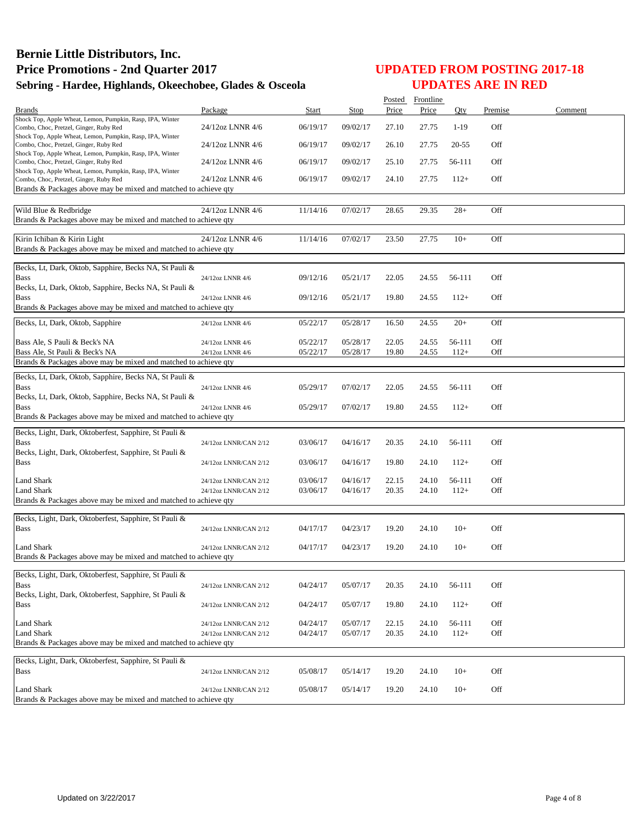|                                                                                                     |                       |          |          | Posted | Frontline |        |         |         |
|-----------------------------------------------------------------------------------------------------|-----------------------|----------|----------|--------|-----------|--------|---------|---------|
| <b>Brands</b>                                                                                       | Package               | Start    | Stop     | Price  | Price     | Oty    | Premise | Comment |
| Shock Top, Apple Wheat, Lemon, Pumpkin, Rasp, IPA, Winter<br>Combo, Choc, Pretzel, Ginger, Ruby Red | 24/12oz LNNR 4/6      | 06/19/17 | 09/02/17 | 27.10  | 27.75     | $1-19$ | Off     |         |
| Shock Top, Apple Wheat, Lemon, Pumpkin, Rasp, IPA, Winter<br>Combo, Choc, Pretzel, Ginger, Ruby Red | 24/12oz LNNR 4/6      | 06/19/17 | 09/02/17 | 26.10  | 27.75     | 20-55  | Off     |         |
| Shock Top, Apple Wheat, Lemon, Pumpkin, Rasp, IPA, Winter                                           |                       |          |          |        |           |        |         |         |
| Combo, Choc, Pretzel, Ginger, Ruby Red<br>Shock Top, Apple Wheat, Lemon, Pumpkin, Rasp, IPA, Winter | 24/12oz LNNR 4/6      | 06/19/17 | 09/02/17 | 25.10  | 27.75     | 56-111 | Off     |         |
| Combo, Choc, Pretzel, Ginger, Ruby Red                                                              | 24/12oz LNNR 4/6      | 06/19/17 | 09/02/17 | 24.10  | 27.75     | $112+$ | Off     |         |
| Brands & Packages above may be mixed and matched to achieve qty                                     |                       |          |          |        |           |        |         |         |
| Wild Blue & Redbridge                                                                               | 24/12oz LNNR 4/6      | 11/14/16 | 07/02/17 | 28.65  | 29.35     | $28+$  | Off     |         |
| Brands & Packages above may be mixed and matched to achieve qty                                     |                       |          |          |        |           |        |         |         |
| Kirin Ichiban & Kirin Light                                                                         | 24/12oz LNNR 4/6      | 11/14/16 | 07/02/17 | 23.50  | 27.75     | $10+$  | Off     |         |
| Brands & Packages above may be mixed and matched to achieve qty                                     |                       |          |          |        |           |        |         |         |
| Becks, Lt, Dark, Oktob, Sapphire, Becks NA, St Pauli &                                              |                       |          |          |        |           |        |         |         |
| <b>Bass</b>                                                                                         | 24/12oz LNNR 4/6      | 09/12/16 | 05/21/17 | 22.05  | 24.55     | 56-111 | Off     |         |
| Becks, Lt, Dark, Oktob, Sapphire, Becks NA, St Pauli &                                              |                       |          |          |        |           |        |         |         |
| <b>Bass</b>                                                                                         | 24/12oz LNNR 4/6      | 09/12/16 | 05/21/17 | 19.80  | 24.55     | $112+$ | Off     |         |
| Brands & Packages above may be mixed and matched to achieve qty                                     |                       |          |          |        |           |        |         |         |
| Becks, Lt, Dark, Oktob, Sapphire                                                                    | 24/12oz LNNR 4/6      | 05/22/17 | 05/28/17 | 16.50  | 24.55     | $20+$  | Off     |         |
| Bass Ale, S Pauli & Beck's NA                                                                       | 24/12oz LNNR 4/6      | 05/22/17 | 05/28/17 | 22.05  | 24.55     | 56-111 | Off     |         |
| Bass Ale, St Pauli & Beck's NA                                                                      | 24/12oz LNNR 4/6      | 05/22/17 | 05/28/17 | 19.80  | 24.55     | $112+$ | Off     |         |
| Brands & Packages above may be mixed and matched to achieve qty                                     |                       |          |          |        |           |        |         |         |
| Becks, Lt, Dark, Oktob, Sapphire, Becks NA, St Pauli &                                              |                       |          |          |        |           |        |         |         |
| <b>Bass</b>                                                                                         | 24/12oz LNNR 4/6      | 05/29/17 | 07/02/17 | 22.05  | 24.55     | 56-111 | Off     |         |
| Becks, Lt, Dark, Oktob, Sapphire, Becks NA, St Pauli &                                              |                       |          |          |        |           |        |         |         |
| <b>Bass</b><br>Brands & Packages above may be mixed and matched to achieve qty                      | 24/12oz LNNR 4/6      | 05/29/17 | 07/02/17 | 19.80  | 24.55     | $112+$ | Off     |         |
|                                                                                                     |                       |          |          |        |           |        |         |         |
| Becks, Light, Dark, Oktoberfest, Sapphire, St Pauli &                                               |                       |          |          |        |           |        |         |         |
| <b>Bass</b>                                                                                         | 24/12oz LNNR/CAN 2/12 | 03/06/17 | 04/16/17 | 20.35  | 24.10     | 56-111 | Off     |         |
| Becks, Light, Dark, Oktoberfest, Sapphire, St Pauli &<br><b>Bass</b>                                | 24/12oz LNNR/CAN 2/12 | 03/06/17 | 04/16/17 | 19.80  | 24.10     | $112+$ | Off     |         |
|                                                                                                     |                       |          |          |        |           |        |         |         |
| Land Shark                                                                                          | 24/12oz LNNR/CAN 2/12 | 03/06/17 | 04/16/17 | 22.15  | 24.10     | 56-111 | Off     |         |
| Land Shark                                                                                          | 24/12oz LNNR/CAN 2/12 | 03/06/17 | 04/16/17 | 20.35  | 24.10     | $112+$ | Off     |         |
| Brands & Packages above may be mixed and matched to achieve qty                                     |                       |          |          |        |           |        |         |         |
| Becks, Light, Dark, Oktoberfest, Sapphire, St Pauli &                                               |                       |          |          |        |           |        |         |         |
| <b>Bass</b>                                                                                         | 24/12oz LNNR/CAN 2/12 | 04/17/17 | 04/23/17 | 19.20  | 24.10     | $10+$  | Off     |         |
|                                                                                                     |                       |          |          |        |           |        |         |         |
| Land Shark                                                                                          | 24/12oz LNNR/CAN 2/12 | 04/17/17 | 04/23/17 | 19.20  | 24.10     | $10+$  | Off     |         |
| Brands & Packages above may be mixed and matched to achieve qty                                     |                       |          |          |        |           |        |         |         |
| Becks, Light, Dark, Oktoberfest, Sapphire, St Pauli &                                               |                       |          |          |        |           |        |         |         |
| <b>Bass</b>                                                                                         | 24/12oz LNNR/CAN 2/12 | 04/24/17 | 05/07/17 | 20.35  | 24.10     | 56-111 | Off     |         |
| Becks, Light, Dark, Oktoberfest, Sapphire, St Pauli &                                               |                       |          |          |        |           |        |         |         |
| <b>Bass</b>                                                                                         | 24/12oz LNNR/CAN 2/12 | 04/24/17 | 05/07/17 | 19.80  | 24.10     | $112+$ | Off     |         |
| <b>Land Shark</b>                                                                                   | 24/12oz LNNR/CAN 2/12 | 04/24/17 | 05/07/17 | 22.15  | 24.10     | 56-111 | Off     |         |
| Land Shark                                                                                          | 24/12oz LNNR/CAN 2/12 | 04/24/17 | 05/07/17 | 20.35  | 24.10     | $112+$ | Off     |         |
| Brands & Packages above may be mixed and matched to achieve qty                                     |                       |          |          |        |           |        |         |         |
|                                                                                                     |                       |          |          |        |           |        |         |         |
| Becks, Light, Dark, Oktoberfest, Sapphire, St Pauli &                                               |                       |          |          |        |           |        |         |         |
| <b>Bass</b>                                                                                         | 24/12oz LNNR/CAN 2/12 | 05/08/17 | 05/14/17 | 19.20  | 24.10     | $10+$  | Off     |         |
| Land Shark                                                                                          | 24/12oz LNNR/CAN 2/12 | 05/08/17 | 05/14/17 | 19.20  | 24.10     | $10+$  | Off     |         |
| Brands & Packages above may be mixed and matched to achieve qty                                     |                       |          |          |        |           |        |         |         |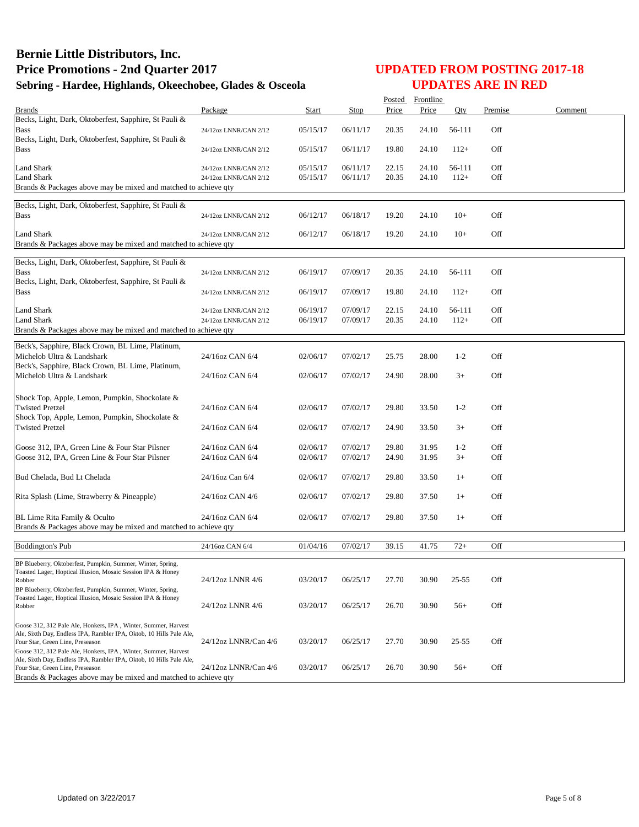|                                                                                                         |                       |          |          |       | Posted Frontline |           |         |         |
|---------------------------------------------------------------------------------------------------------|-----------------------|----------|----------|-------|------------------|-----------|---------|---------|
| <b>Brands</b>                                                                                           | Package               | Start    | Stop     | Price | Price            | Oty       | Premise | Comment |
| Becks, Light, Dark, Oktoberfest, Sapphire, St Pauli &                                                   |                       |          |          |       |                  |           |         |         |
| <b>Bass</b>                                                                                             | 24/12oz LNNR/CAN 2/12 | 05/15/17 | 06/11/17 | 20.35 | 24.10            | 56-111    | Off     |         |
| Becks, Light, Dark, Oktoberfest, Sapphire, St Pauli &                                                   |                       |          |          |       |                  |           |         |         |
| <b>Bass</b>                                                                                             | 24/12oz LNNR/CAN 2/12 | 05/15/17 | 06/11/17 | 19.80 | 24.10            | $112+$    | Off     |         |
|                                                                                                         |                       |          |          |       |                  |           |         |         |
| <b>Land Shark</b>                                                                                       | 24/12oz LNNR/CAN 2/12 | 05/15/17 | 06/11/17 | 22.15 | 24.10            | 56-111    | Off     |         |
| <b>Land Shark</b>                                                                                       | 24/12oz LNNR/CAN 2/12 | 05/15/17 | 06/11/17 | 20.35 | 24.10            | $112+$    | Off     |         |
| Brands & Packages above may be mixed and matched to achieve qty                                         |                       |          |          |       |                  |           |         |         |
| Becks, Light, Dark, Oktoberfest, Sapphire, St Pauli &                                                   |                       |          |          |       |                  |           |         |         |
| <b>Bass</b>                                                                                             | 24/12oz LNNR/CAN 2/12 | 06/12/17 | 06/18/17 | 19.20 | 24.10            | $10+$     | Off     |         |
|                                                                                                         |                       |          |          |       |                  |           |         |         |
| <b>Land Shark</b>                                                                                       | 24/12oz LNNR/CAN 2/12 | 06/12/17 | 06/18/17 | 19.20 | 24.10            | $10+$     | Off     |         |
| Brands & Packages above may be mixed and matched to achieve qty                                         |                       |          |          |       |                  |           |         |         |
|                                                                                                         |                       |          |          |       |                  |           |         |         |
| Becks, Light, Dark, Oktoberfest, Sapphire, St Pauli &                                                   |                       |          |          |       |                  |           |         |         |
| <b>Bass</b>                                                                                             | 24/12oz LNNR/CAN 2/12 | 06/19/17 | 07/09/17 | 20.35 | 24.10            | 56-111    | Off     |         |
| Becks, Light, Dark, Oktoberfest, Sapphire, St Pauli &                                                   |                       |          |          |       |                  |           |         |         |
| <b>Bass</b>                                                                                             | 24/12oz LNNR/CAN 2/12 | 06/19/17 | 07/09/17 | 19.80 | 24.10            | $112+$    | Off     |         |
|                                                                                                         |                       |          |          |       |                  |           |         |         |
| <b>Land Shark</b>                                                                                       | 24/12oz LNNR/CAN 2/12 | 06/19/17 | 07/09/17 | 22.15 | 24.10            | 56-111    | Off     |         |
| <b>Land Shark</b>                                                                                       | 24/12oz LNNR/CAN 2/12 | 06/19/17 | 07/09/17 | 20.35 | 24.10            | $112+$    | Off     |         |
| Brands & Packages above may be mixed and matched to achieve qty                                         |                       |          |          |       |                  |           |         |         |
| Beck's, Sapphire, Black Crown, BL Lime, Platinum,                                                       |                       |          |          |       |                  |           |         |         |
| Michelob Ultra & Landshark                                                                              | 24/16oz CAN 6/4       | 02/06/17 | 07/02/17 | 25.75 | 28.00            | $1 - 2$   | Off     |         |
| Beck's, Sapphire, Black Crown, BL Lime, Platinum,                                                       |                       |          |          |       |                  |           |         |         |
| Michelob Ultra & Landshark                                                                              | 24/16oz CAN 6/4       | 02/06/17 | 07/02/17 | 24.90 | 28.00            | $3+$      | Off     |         |
|                                                                                                         |                       |          |          |       |                  |           |         |         |
|                                                                                                         |                       |          |          |       |                  |           |         |         |
| Shock Top, Apple, Lemon, Pumpkin, Shockolate &                                                          | 24/16oz CAN 6/4       |          |          |       |                  |           | Off     |         |
| <b>Twisted Pretzel</b><br>Shock Top, Apple, Lemon, Pumpkin, Shockolate &                                |                       | 02/06/17 | 07/02/17 | 29.80 | 33.50            | $1 - 2$   |         |         |
|                                                                                                         |                       |          |          |       |                  | $3+$      | Off     |         |
| <b>Twisted Pretzel</b>                                                                                  | 24/16oz CAN 6/4       | 02/06/17 | 07/02/17 | 24.90 | 33.50            |           |         |         |
| Goose 312, IPA, Green Line & Four Star Pilsner                                                          | 24/16oz CAN 6/4       | 02/06/17 | 07/02/17 | 29.80 | 31.95            | $1 - 2$   | Off     |         |
| Goose 312, IPA, Green Line & Four Star Pilsner                                                          | 24/16oz CAN 6/4       | 02/06/17 | 07/02/17 | 24.90 | 31.95            | $3+$      | Off     |         |
|                                                                                                         |                       |          |          |       |                  |           |         |         |
| Bud Chelada, Bud Lt Chelada                                                                             | 24/16oz Can 6/4       | 02/06/17 | 07/02/17 | 29.80 | 33.50            | $1+$      | Off     |         |
|                                                                                                         |                       |          |          |       |                  |           |         |         |
| Rita Splash (Lime, Strawberry & Pineapple)                                                              | 24/16oz CAN 4/6       | 02/06/17 | 07/02/17 | 29.80 | 37.50            | $1+$      | Off     |         |
|                                                                                                         |                       |          |          |       |                  |           |         |         |
| BL Lime Rita Family & Oculto                                                                            | 24/16oz CAN 6/4       | 02/06/17 | 07/02/17 | 29.80 | 37.50            | $1+$      | Off     |         |
| Brands & Packages above may be mixed and matched to achieve qty                                         |                       |          |          |       |                  |           |         |         |
|                                                                                                         |                       |          |          |       |                  |           |         |         |
| <b>Boddington's Pub</b>                                                                                 | 24/16oz CAN 6/4       | 01/04/16 | 07/02/17 | 39.15 | 41.75            | $72+$     | Off     |         |
|                                                                                                         |                       |          |          |       |                  |           |         |         |
| BP Blueberry, Oktoberfest, Pumpkin, Summer, Winter, Spring,                                             |                       |          |          |       |                  |           |         |         |
| Toasted Lager, Hoptical Illusion, Mosaic Session IPA & Honey                                            |                       |          |          |       |                  |           |         |         |
| Robber<br>BP Blueberry, Oktoberfest, Pumpkin, Summer, Winter, Spring,                                   | 24/12oz LNNR 4/6      | 03/20/17 | 06/25/17 | 27.70 | 30.90            | $25 - 55$ | Off     |         |
| Toasted Lager, Hoptical Illusion, Mosaic Session IPA & Honey                                            |                       |          |          |       |                  |           |         |         |
| Robber                                                                                                  | 24/12oz LNNR 4/6      | 03/20/17 | 06/25/17 | 26.70 | 30.90            | $56+$     | Off     |         |
|                                                                                                         |                       |          |          |       |                  |           |         |         |
| Goose 312, 312 Pale Ale, Honkers, IPA, Winter, Summer, Harvest                                          |                       |          |          |       |                  |           |         |         |
| Ale, Sixth Day, Endless IPA, Rambler IPA, Oktob, 10 Hills Pale Ale,                                     |                       |          |          |       |                  |           |         |         |
| Four Star, Green Line, Preseason                                                                        | 24/12oz LNNR/Can 4/6  | 03/20/17 | 06/25/17 | 27.70 | 30.90            | $25 - 55$ | Off     |         |
| Goose 312, 312 Pale Ale, Honkers, IPA, Winter, Summer, Harvest                                          |                       |          |          |       |                  |           |         |         |
| Ale, Sixth Day, Endless IPA, Rambler IPA, Oktob, 10 Hills Pale Ale,<br>Four Star, Green Line, Preseason | 24/12oz LNNR/Can 4/6  | 03/20/17 | 06/25/17 | 26.70 | 30.90            | $56+$     | Off     |         |
| Brands & Packages above may be mixed and matched to achieve qty                                         |                       |          |          |       |                  |           |         |         |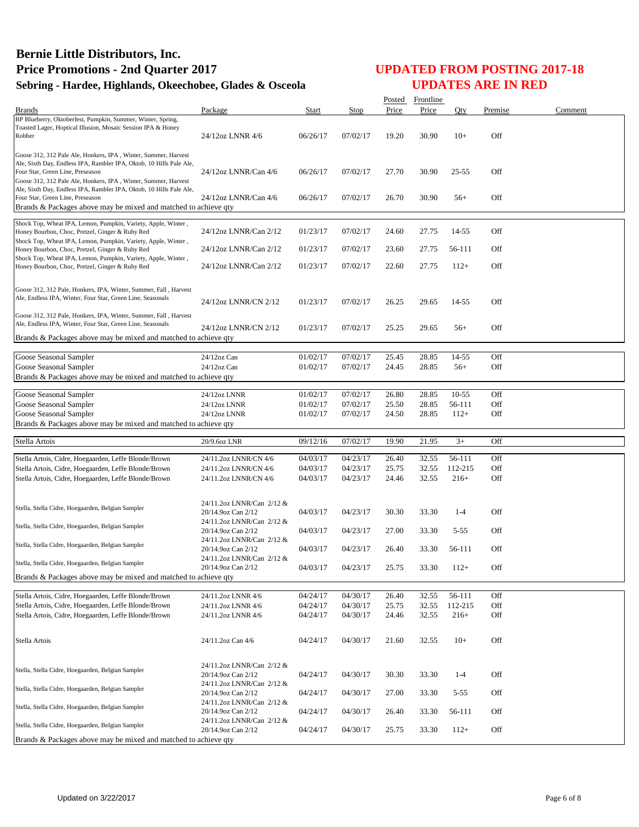|                                                                                                                                                                                                                                             |                                                 |                      |                      | Posted         | Frontline      |                |            |         |
|---------------------------------------------------------------------------------------------------------------------------------------------------------------------------------------------------------------------------------------------|-------------------------------------------------|----------------------|----------------------|----------------|----------------|----------------|------------|---------|
| <b>Brands</b>                                                                                                                                                                                                                               | Package                                         | Start                | Stop                 | Price          | Price          | Oty            | Premise    | Comment |
| BP Blueberry, Oktoberfest, Pumpkin, Summer, Winter, Spring,<br>Toasted Lager, Hoptical Illusion, Mosaic Session IPA & Honey<br>Robber                                                                                                       | 24/12oz LNNR 4/6                                | 06/26/17             | 07/02/17             | 19.20          | 30.90          | $10+$          | Off        |         |
| Goose 312, 312 Pale Ale, Honkers, IPA, Winter, Summer, Harvest<br>Ale, Sixth Day, Endless IPA, Rambler IPA, Oktob, 10 Hills Pale Ale,<br>Four Star, Green Line, Preseason<br>Goose 312, 312 Pale Ale, Honkers, IPA, Winter, Summer, Harvest | 24/12oz LNNR/Can 4/6                            | 06/26/17             | 07/02/17             | 27.70          | 30.90          | $25 - 55$      | Off        |         |
| Ale, Sixth Day, Endless IPA, Rambler IPA, Oktob, 10 Hills Pale Ale,<br>Four Star, Green Line, Preseason<br>Brands & Packages above may be mixed and matched to achieve qty                                                                  | 24/12oz LNNR/Can 4/6                            | 06/26/17             | 07/02/17             | 26.70          | 30.90          | $56+$          | Off        |         |
|                                                                                                                                                                                                                                             |                                                 |                      |                      |                |                |                |            |         |
| Shock Top, Wheat IPA, Lemon, Pumpkin, Variety, Apple, Winter,<br>Honey Bourbon, Choc, Pretzel, Ginger & Ruby Red<br>Shock Top, Wheat IPA, Lemon, Pumpkin, Variety, Apple, Winter,                                                           | 24/12oz LNNR/Can 2/12                           | 01/23/17             | 07/02/17             | 24.60          | 27.75          | 14-55          | Off        |         |
| Honey Bourbon, Choc, Pretzel, Ginger & Ruby Red                                                                                                                                                                                             | 24/12oz LNNR/Can 2/12                           | 01/23/17             | 07/02/17             | 23.60          | 27.75          | 56-111         | Off        |         |
| Shock Top, Wheat IPA, Lemon, Pumpkin, Variety, Apple, Winter,<br>Honey Bourbon, Choc, Pretzel, Ginger & Ruby Red                                                                                                                            | 24/12oz LNNR/Can 2/12                           | 01/23/17             | 07/02/17             | 22.60          | 27.75          | $112+$         | Off        |         |
| Goose 312, 312 Pale, Honkers, IPA, Winter, Summer, Fall, Harvest<br>Ale, Endless IPA, Winter, Four Star, Green Line, Seasonals<br>Goose 312, 312 Pale, Honkers, IPA, Winter, Summer, Fall, Harvest                                          | 24/12oz LNNR/CN 2/12                            | 01/23/17             | 07/02/17             | 26.25          | 29.65          | 14-55          | Off        |         |
| Ale, Endless IPA, Winter, Four Star, Green Line, Seasonals<br>Brands & Packages above may be mixed and matched to achieve qty                                                                                                               | 24/12oz LNNR/CN 2/12                            | 01/23/17             | 07/02/17             | 25.25          | 29.65          | $56+$          | Off        |         |
|                                                                                                                                                                                                                                             |                                                 |                      |                      |                |                |                |            |         |
| Goose Seasonal Sampler<br>Goose Seasonal Sampler                                                                                                                                                                                            | 24/12oz Can<br>24/12oz Can                      | 01/02/17<br>01/02/17 | 07/02/17<br>07/02/17 | 25.45<br>24.45 | 28.85<br>28.85 | 14-55<br>$56+$ | Off<br>Off |         |
| Brands & Packages above may be mixed and matched to achieve qty                                                                                                                                                                             |                                                 |                      |                      |                |                |                |            |         |
| Goose Seasonal Sampler                                                                                                                                                                                                                      | 24/12oz LNNR                                    | 01/02/17             | 07/02/17             | 26.80          | 28.85          | $10-55$        | Off        |         |
| Goose Seasonal Sampler                                                                                                                                                                                                                      | 24/12oz LNNR                                    | 01/02/17             | 07/02/17             | 25.50          | 28.85          | 56-111         | Off        |         |
| Goose Seasonal Sampler                                                                                                                                                                                                                      | 24/12oz LNNR                                    | 01/02/17             | 07/02/17             | 24.50          | 28.85          | $112+$         | Off        |         |
| Brands & Packages above may be mixed and matched to achieve qty                                                                                                                                                                             |                                                 |                      |                      |                |                |                |            |         |
| Stella Artois                                                                                                                                                                                                                               | 20/9.6oz LNR                                    | 09/12/16             | 07/02/17             | 19.90          | 21.95          | $3+$           | Off        |         |
|                                                                                                                                                                                                                                             |                                                 |                      |                      |                |                |                |            |         |
| Stella Artois, Cidre, Hoegaarden, Leffe Blonde/Brown                                                                                                                                                                                        | 24/11.2oz LNNR/CN 4/6                           | 04/03/17             | 04/23/17             | 26.40          | 32.55          | 56-111         | Off        |         |
| Stella Artois, Cidre, Hoegaarden, Leffe Blonde/Brown                                                                                                                                                                                        | 24/11.2oz LNNR/CN 4/6                           | 04/03/17             | 04/23/17             | 25.75          | 32.55          | 112-215        | Off        |         |
| Stella Artois, Cidre, Hoegaarden, Leffe Blonde/Brown                                                                                                                                                                                        | 24/11.2oz LNNR/CN 4/6                           | 04/03/17             | 04/23/17             | 24.46          | 32.55          | $216+$         | Off        |         |
| Stella, Stella Cidre, Hoegaarden, Belgian Sampler                                                                                                                                                                                           | 24/11.2oz LNNR/Can 2/12 &<br>20/14.9oz Can 2/12 | 04/03/17             | 04/23/17             | 30.30          | 33.30          | $1 - 4$        | Off        |         |
| Stella, Stella Cidre, Hoegaarden, Belgian Sampler                                                                                                                                                                                           | 24/11.2oz LNNR/Can 2/12 &<br>20/14.9oz Can 2/12 | 04/03/17             | 04/23/17             | 27.00          | 33.30          | $5 - 55$       | Off        |         |
| Stella, Stella Cidre, Hoegaarden, Belgian Sampler                                                                                                                                                                                           | 24/11.2oz LNNR/Can 2/12 &<br>20/14.9oz Can 2/12 | 04/03/17             | 04/23/17             | 26.40          | 33.30          | 56-111         | Off        |         |
| Stella, Stella Cidre, Hoegaarden, Belgian Sampler                                                                                                                                                                                           | 24/11.2oz LNNR/Can 2/12 &<br>20/14.9oz Can 2/12 | 04/03/17             | 04/23/17             | 25.75          | 33.30          | $112+$         | Off        |         |
| Brands & Packages above may be mixed and matched to achieve qty                                                                                                                                                                             |                                                 |                      |                      |                |                |                |            |         |
| Stella Artois, Cidre, Hoegaarden, Leffe Blonde/Brown                                                                                                                                                                                        | 24/11.2oz LNNR 4/6                              | 04/24/17             | 04/30/17             | 26.40          | 32.55          | 56-111         | Off        |         |
| Stella Artois, Cidre, Hoegaarden, Leffe Blonde/Brown                                                                                                                                                                                        | 24/11.2oz LNNR 4/6                              | 04/24/17             | 04/30/17             | 25.75          | 32.55          | 112-215        | Off        |         |
| Stella Artois, Cidre, Hoegaarden, Leffe Blonde/Brown                                                                                                                                                                                        | 24/11.2oz LNNR 4/6                              | 04/24/17             | 04/30/17             | 24.46          | 32.55          | $216+$         | Off        |         |
| Stella Artois                                                                                                                                                                                                                               | 24/11.2oz Can 4/6                               | 04/24/17             | 04/30/17             | 21.60          | 32.55          | $10+$          | Off        |         |
|                                                                                                                                                                                                                                             |                                                 |                      |                      |                |                |                |            |         |
| Stella, Stella Cidre, Hoegaarden, Belgian Sampler                                                                                                                                                                                           | 24/11.2oz LNNR/Can 2/12 &<br>20/14.9oz Can 2/12 | 04/24/17             | 04/30/17             | 30.30          | 33.30          | $1 - 4$        | Off        |         |
| Stella, Stella Cidre, Hoegaarden, Belgian Sampler                                                                                                                                                                                           | 24/11.2oz LNNR/Can 2/12 &<br>20/14.9oz Can 2/12 | 04/24/17             | 04/30/17             | 27.00          | 33.30          | $5 - 55$       | Off        |         |
| Stella, Stella Cidre, Hoegaarden, Belgian Sampler                                                                                                                                                                                           | 24/11.2oz LNNR/Can 2/12 &<br>20/14.9oz Can 2/12 | 04/24/17             | 04/30/17             | 26.40          | 33.30          | 56-111         | Off        |         |
| Stella, Stella Cidre, Hoegaarden, Belgian Sampler                                                                                                                                                                                           | 24/11.2oz LNNR/Can 2/12 &<br>20/14.9oz Can 2/12 | 04/24/17             | 04/30/17             | 25.75          | 33.30          | $112+$         | Off        |         |
| Brands & Packages above may be mixed and matched to achieve qty                                                                                                                                                                             |                                                 |                      |                      |                |                |                |            |         |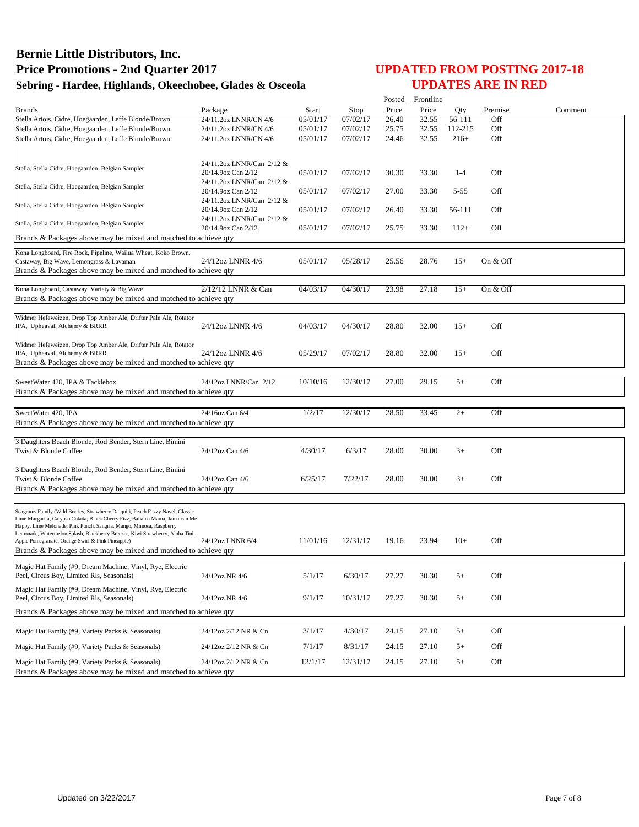|                                                                                                                                                    |                           |          |          |       | Posted Frontline |          |          |         |
|----------------------------------------------------------------------------------------------------------------------------------------------------|---------------------------|----------|----------|-------|------------------|----------|----------|---------|
| <b>Brands</b>                                                                                                                                      | Package                   | Start    | Stop     | Price | Price            | Otv      | Premise  | Comment |
| Stella Artois, Cidre, Hoegaarden, Leffe Blonde/Brown                                                                                               | 24/11.2oz LNNR/CN 4/6     | 05/01/17 | 07/02/17 | 26.40 | 32.55            | 56-111   | Off      |         |
| Stella Artois, Cidre, Hoegaarden, Leffe Blonde/Brown                                                                                               | 24/11.2oz LNNR/CN 4/6     | 05/01/17 | 07/02/17 | 25.75 | 32.55            | 112-215  | Off      |         |
| Stella Artois, Cidre, Hoegaarden, Leffe Blonde/Brown                                                                                               | 24/11.2oz LNNR/CN 4/6     | 05/01/17 | 07/02/17 | 24.46 | 32.55            | $216+$   | Off      |         |
|                                                                                                                                                    |                           |          |          |       |                  |          |          |         |
|                                                                                                                                                    | 24/11.2oz LNNR/Can 2/12 & |          |          |       |                  |          |          |         |
| Stella, Stella Cidre, Hoegaarden, Belgian Sampler                                                                                                  | 20/14.9oz Can 2/12        | 05/01/17 | 07/02/17 | 30.30 | 33.30            | $1 - 4$  | Off      |         |
|                                                                                                                                                    | 24/11.2oz LNNR/Can 2/12 & |          |          |       |                  |          |          |         |
| Stella, Stella Cidre, Hoegaarden, Belgian Sampler                                                                                                  | 20/14.9oz Can 2/12        | 05/01/17 | 07/02/17 | 27.00 | 33.30            | $5 - 55$ | Off      |         |
|                                                                                                                                                    | 24/11.2oz LNNR/Can 2/12 & |          |          |       |                  |          |          |         |
| Stella, Stella Cidre, Hoegaarden, Belgian Sampler                                                                                                  | 20/14.9oz Can 2/12        | 05/01/17 | 07/02/17 | 26.40 | 33.30            | 56-111   | Off      |         |
|                                                                                                                                                    | 24/11.2oz LNNR/Can 2/12 & |          |          |       |                  |          |          |         |
| Stella, Stella Cidre, Hoegaarden, Belgian Sampler                                                                                                  | 20/14.9oz Can 2/12        | 05/01/17 | 07/02/17 | 25.75 | 33.30            | $112+$   | Off      |         |
| Brands & Packages above may be mixed and matched to achieve qty                                                                                    |                           |          |          |       |                  |          |          |         |
| Kona Longboard, Fire Rock, Pipeline, Wailua Wheat, Koko Brown,                                                                                     |                           |          |          |       |                  |          |          |         |
| Castaway, Big Wave, Lemongrass & Lavaman                                                                                                           | 24/12oz LNNR 4/6          | 05/01/17 | 05/28/17 | 25.56 | 28.76            | $15+$    | On & Off |         |
| Brands & Packages above may be mixed and matched to achieve qty                                                                                    |                           |          |          |       |                  |          |          |         |
|                                                                                                                                                    |                           |          |          |       |                  |          |          |         |
| Kona Longboard, Castaway, Variety & Big Wave                                                                                                       | 2/12/12 LNNR & Can        | 04/03/17 | 04/30/17 | 23.98 | 27.18            | $15+$    | On & Off |         |
| Brands & Packages above may be mixed and matched to achieve qty                                                                                    |                           |          |          |       |                  |          |          |         |
|                                                                                                                                                    |                           |          |          |       |                  |          |          |         |
| Widmer Hefeweizen, Drop Top Amber Ale, Drifter Pale Ale, Rotator                                                                                   |                           |          |          |       |                  |          |          |         |
| IPA, Upheaval, Alchemy & BRRR                                                                                                                      | 24/12oz LNNR 4/6          | 04/03/17 | 04/30/17 | 28.80 | 32.00            | $15+$    | Off      |         |
|                                                                                                                                                    |                           |          |          |       |                  |          |          |         |
| Widmer Hefeweizen, Drop Top Amber Ale, Drifter Pale Ale, Rotator<br>IPA, Upheaval, Alchemy & BRRR                                                  | 24/12oz LNNR 4/6          | 05/29/17 | 07/02/17 | 28.80 | 32.00            | $15+$    | Off      |         |
| Brands & Packages above may be mixed and matched to achieve qty                                                                                    |                           |          |          |       |                  |          |          |         |
|                                                                                                                                                    |                           |          |          |       |                  |          |          |         |
| SweetWater 420, IPA & Tacklebox                                                                                                                    | 24/12oz LNNR/Can 2/12     | 10/10/16 | 12/30/17 | 27.00 | 29.15            | $5+$     | Off      |         |
| Brands & Packages above may be mixed and matched to achieve qty                                                                                    |                           |          |          |       |                  |          |          |         |
|                                                                                                                                                    |                           |          |          |       |                  |          |          |         |
| SweetWater 420, IPA                                                                                                                                | 24/16oz Can 6/4           | 1/2/17   | 12/30/17 | 28.50 | 33.45            | $2+$     | Off      |         |
| Brands & Packages above may be mixed and matched to achieve qty                                                                                    |                           |          |          |       |                  |          |          |         |
|                                                                                                                                                    |                           |          |          |       |                  |          |          |         |
| 3 Daughters Beach Blonde, Rod Bender, Stern Line, Bimini                                                                                           |                           |          |          |       |                  |          |          |         |
| Twist & Blonde Coffee                                                                                                                              | 24/12oz Can 4/6           | 4/30/17  | 6/3/17   | 28.00 | 30.00            | $3+$     | Off      |         |
|                                                                                                                                                    |                           |          |          |       |                  |          |          |         |
| 3 Daughters Beach Blonde, Rod Bender, Stern Line, Bimini                                                                                           |                           |          |          |       |                  |          |          |         |
| Twist & Blonde Coffee                                                                                                                              | 24/12oz Can 4/6           | 6/25/17  | 7/22/17  | 28.00 | 30.00            | $3+$     | Off      |         |
| Brands & Packages above may be mixed and matched to achieve qty                                                                                    |                           |          |          |       |                  |          |          |         |
|                                                                                                                                                    |                           |          |          |       |                  |          |          |         |
| Seagrams Family (Wild Berries, Strawberry Daiquiri, Peach Fuzzy Navel, Classic                                                                     |                           |          |          |       |                  |          |          |         |
| Lime Margarita, Calypso Colada, Black Cherry Fizz, Bahama Mama, Jamaican Me<br>Happy, Lime Melonade, Pink Punch, Sangria, Mango, Mimosa, Raspberry |                           |          |          |       |                  |          |          |         |
| Lemonade, Watermelon Splash, Blackberry Breezer, Kiwi Strawberry, Aloha Tini,                                                                      |                           |          |          |       |                  |          |          |         |
| Apple Pomegranate, Orange Swirl & Pink Pineapple)                                                                                                  | 24/12oz LNNR 6/4          | 11/01/16 | 12/31/17 | 19.16 | 23.94            | $10+$    | Off      |         |
| Brands & Packages above may be mixed and matched to achieve qty                                                                                    |                           |          |          |       |                  |          |          |         |
| Magic Hat Family (#9, Dream Machine, Vinyl, Rye, Electric                                                                                          |                           |          |          |       |                  |          |          |         |
| Peel, Circus Boy, Limited Rls, Seasonals)                                                                                                          | 24/12oz NR 4/6            | 5/1/17   | 6/30/17  | 27.27 | 30.30            | $5+$     | Off      |         |
|                                                                                                                                                    |                           |          |          |       |                  |          |          |         |
| Magic Hat Family (#9, Dream Machine, Vinyl, Rye, Electric<br>Peel, Circus Boy, Limited Rls, Seasonals)                                             | 24/12oz NR 4/6            | 9/1/17   | 10/31/17 | 27.27 | 30.30            | $5+$     | Off      |         |
|                                                                                                                                                    |                           |          |          |       |                  |          |          |         |
| Brands & Packages above may be mixed and matched to achieve gty                                                                                    |                           |          |          |       |                  |          |          |         |
|                                                                                                                                                    | 24/12oz 2/12 NR & Cn      |          |          |       |                  |          |          |         |
| Magic Hat Family (#9, Variety Packs & Seasonals)                                                                                                   |                           | 3/1/17   | 4/30/17  | 24.15 | 27.10            | $5+$     | Off      |         |
| Magic Hat Family (#9, Variety Packs & Seasonals)                                                                                                   | 24/12oz 2/12 NR & Cn      | 7/1/17   | 8/31/17  | 24.15 | 27.10            | $5+$     | Off      |         |
|                                                                                                                                                    |                           |          |          |       |                  |          |          |         |
| Magic Hat Family (#9, Variety Packs & Seasonals)<br>Brands & Packages above may be mixed and matched to achieve qty                                | 24/12oz 2/12 NR & Cn      | 12/1/17  | 12/31/17 | 24.15 | 27.10            | $5+$     | Off      |         |